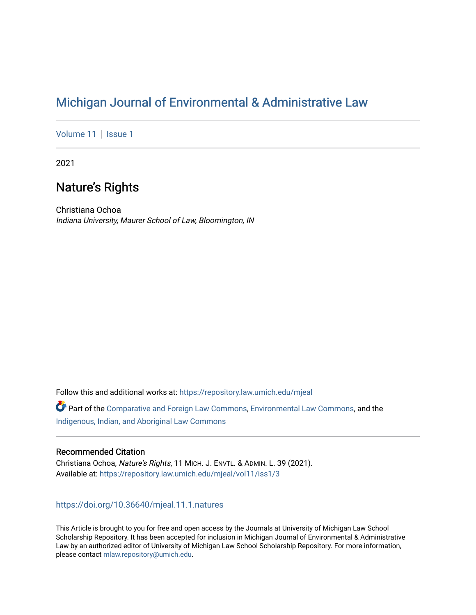# [Michigan Journal of Environmental & Administrative Law](https://repository.law.umich.edu/mjeal)

[Volume 11](https://repository.law.umich.edu/mjeal/vol11) | [Issue 1](https://repository.law.umich.edu/mjeal/vol11/iss1)

2021

# Nature's Rights

Christiana Ochoa Indiana University, Maurer School of Law, Bloomington, IN

Follow this and additional works at: [https://repository.law.umich.edu/mjeal](https://repository.law.umich.edu/mjeal?utm_source=repository.law.umich.edu%2Fmjeal%2Fvol11%2Fiss1%2F3&utm_medium=PDF&utm_campaign=PDFCoverPages)

Part of the [Comparative and Foreign Law Commons,](http://network.bepress.com/hgg/discipline/836?utm_source=repository.law.umich.edu%2Fmjeal%2Fvol11%2Fiss1%2F3&utm_medium=PDF&utm_campaign=PDFCoverPages) [Environmental Law Commons](http://network.bepress.com/hgg/discipline/599?utm_source=repository.law.umich.edu%2Fmjeal%2Fvol11%2Fiss1%2F3&utm_medium=PDF&utm_campaign=PDFCoverPages), and the [Indigenous, Indian, and Aboriginal Law Commons](http://network.bepress.com/hgg/discipline/894?utm_source=repository.law.umich.edu%2Fmjeal%2Fvol11%2Fiss1%2F3&utm_medium=PDF&utm_campaign=PDFCoverPages) 

# Recommended Citation

Christiana Ochoa, Nature's Rights, 11 MICH. J. ENVTL. & ADMIN. L. 39 (2021). Available at: [https://repository.law.umich.edu/mjeal/vol11/iss1/3](https://repository.law.umich.edu/mjeal/vol11/iss1/3?utm_source=repository.law.umich.edu%2Fmjeal%2Fvol11%2Fiss1%2F3&utm_medium=PDF&utm_campaign=PDFCoverPages)

<https://doi.org/10.36640/mjeal.11.1.natures>

This Article is brought to you for free and open access by the Journals at University of Michigan Law School Scholarship Repository. It has been accepted for inclusion in Michigan Journal of Environmental & Administrative Law by an authorized editor of University of Michigan Law School Scholarship Repository. For more information, please contact [mlaw.repository@umich.edu.](mailto:mlaw.repository@umich.edu)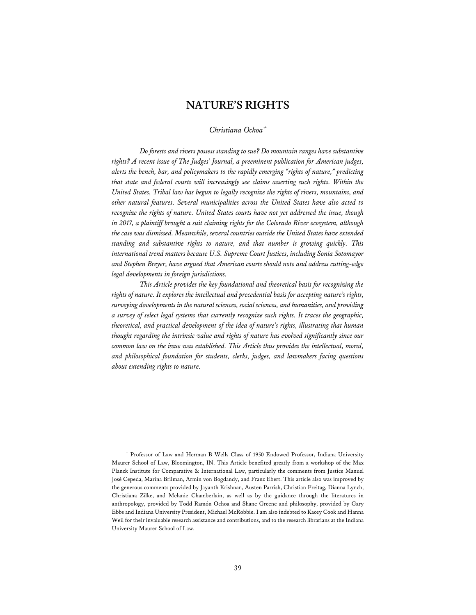# **NATURE'S RIGHTS**

# *Christiana Ochoa*<sup>+</sup>

*Do forests and rivers possess standing to sue? Do mountain ranges have substantive rights? A recent issue of The Judges' Journal, a preeminent publication for American judges, alerts the bench, bar, and policymakers to the rapidly emerging "rights of nature," predicting that state and federal courts will increasingly see claims asserting such rights. Within the United States, Tribal law has begun to legally recognize the rights of rivers, mountains, and other natural features. Several municipalities across the United States have also acted to recognize the rights of nature. United States courts have not yet addressed the issue, though in 2017, a plaintiff brought a suit claiming rights for the Colorado River ecosystem, although the case was dismissed. Meanwhile, several countries outside the United States have extended standing and substantive rights to nature, and that number is growing quickly. This international trend matters because U.S. Supreme Court Justices, including Sonia Sotomayor and Stephen Breyer, have argued that American courts should note and address cutting-edge legal developments in foreign jurisdictions.* 

*This Article provides the key foundational and theoretical basis for recognizing the rights of nature. It explores the intellectual and precedential basis for accepting nature's rights, surveying developments in the natural sciences, social sciences, and humanities, and providing a survey of select legal systems that currently recognize such rights. It traces the geographic, theoretical, and practical development of the idea of nature's rights, illustrating that human thought regarding the intrinsic value and rights of nature has evolved significantly since our common law on the issue was established. This Article thus provides the intellectual, moral, and philosophical foundation for students, clerks, judges, and lawmakers facing questions about extending rights to nature.* 

<sup>+</sup> Professor of Law and Herman B Wells Class of 1950 Endowed Professor, Indiana University Maurer School of Law, Bloomington, IN. This Article benefited greatly from a workshop of the Max Planck Institute for Comparative & International Law, particularly the comments from Justice Manuel José Cepeda, Marina Brilman, Armin von Bogdandy, and Franz Ebert. This article also was improved by the generous comments provided by Jayanth Krishnan, Austen Parrish, Christian Freitag, Dianna Lynch, Christiana Zilke, and Melanie Chamberlain, as well as by the guidance through the literatures in anthropology, provided by Todd Ramón Ochoa and Shane Greene and philosophy, provided by Gary Ebbs and Indiana University President, Michael McRobbie. I am also indebted to Kacey Cook and Hanna Weil for their invaluable research assistance and contributions, and to the research librarians at the Indiana University Maurer School of Law.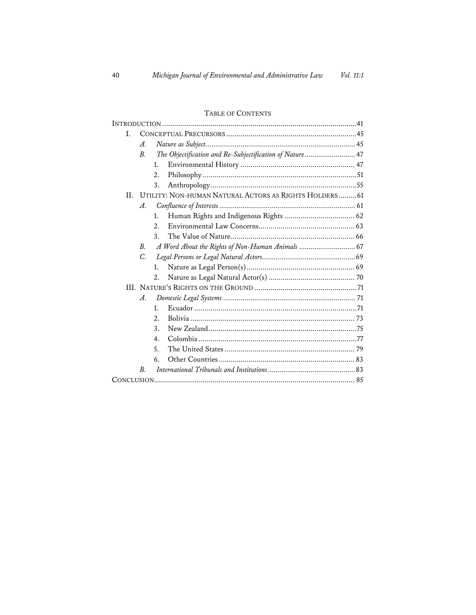#### I. Α. The Objectification and Re-Subjectification of Nature........................... 47  $\overline{B}$ . 1. 2. 3. II. UTILITY: NON-HUMAN NATURAL ACTORS AS RIGHTS HOLDERS.........61  $\mathcal{A}_{\cdot}$ 1.  $2.$  $\mathbf{3}$ . В.  $\overline{C}$ 1. 2. A.  $1<sub>1</sub>$ 2.  $3.$ 4. 5. 6.  $B$ .

#### TABLE OF CONTENTS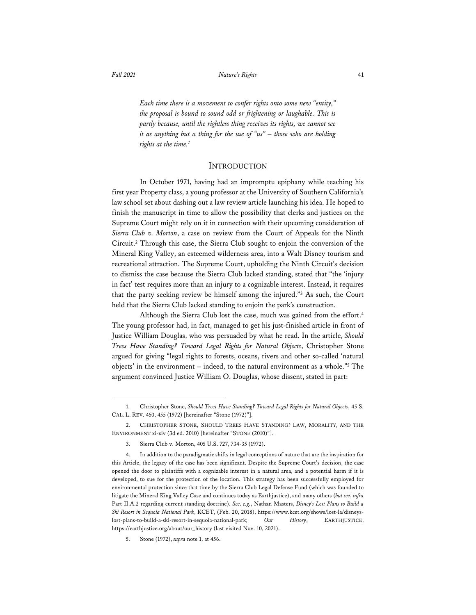*Each time there is a movement to confer rights onto some new "entity," the proposal is bound to sound odd or frightening or laughable. This is partly because, until the rightless thing receives its rights, we cannot see it as anything but a thing for the use of "us" – those who are holding rights at the time.1*

### **INTRODUCTION**

In October 1971, having had an impromptu epiphany while teaching his first year Property class, a young professor at the University of Southern California's law school set about dashing out a law review article launching his idea. He hoped to finish the manuscript in time to allow the possibility that clerks and justices on the Supreme Court might rely on it in connection with their upcoming consideration of *Sierra Club v. Morton*, a case on review from the Court of Appeals for the Ninth Circuit.<sup>2</sup> Through this case, the Sierra Club sought to enjoin the conversion of the Mineral King Valley, an esteemed wilderness area, into a Walt Disney tourism and recreational attraction. The Supreme Court, upholding the Ninth Circuit's decision to dismiss the case because the Sierra Club lacked standing, stated that "the 'injury in fact' test requires more than an injury to a cognizable interest. Instead, it requires that the party seeking review be himself among the injured."3 As such, the Court held that the Sierra Club lacked standing to enjoin the park's construction.

Although the Sierra Club lost the case, much was gained from the effort.<sup>4</sup> The young professor had, in fact, managed to get his just-finished article in front of Justice William Douglas, who was persuaded by what he read. In the article, *Should Trees Have Standing? Toward Legal Rights for Natural Objects*, Christopher Stone argued for giving "legal rights to forests, oceans, rivers and other so-called 'natural objects' in the environment – indeed, to the natural environment as a whole."5 The argument convinced Justice William O. Douglas, whose dissent, stated in part:

<sup>1.</sup> Christopher Stone, *Should Trees Have Standing? Toward Legal Rights for Natural Objects*, 45 S. CAL. L. REV. 450, 455 (1972) [hereinafter "Stone (1972)"].

<sup>2.</sup> CHRISTOPHER STONE, SHOULD TREES HAVE STANDING? LAW, MORALITY, AND THE ENVIRONMENT xi-xiv (3d ed. 2010) [hereinafter "STONE (2010)"].

<sup>3.</sup> Sierra Club v. Morton, 405 U.S. 727, 734-35 (1972).

<sup>4.</sup> In addition to the paradigmatic shifts in legal conceptions of nature that are the inspiration for this Article, the legacy of the case has been significant. Despite the Supreme Court's decision, the case opened the door to plaintiffs with a cognizable interest in a natural area, and a potential harm if it is developed, to sue for the protection of the location. This strategy has been successfully employed for environmental protection since that time by the Sierra Club Legal Defense Fund (which was founded to litigate the Mineral King Valley Case and continues today as Earthjustice), and many others (*but see*, *infra*  Part II.A.2 regarding current standing doctrine). *See, e.g.*, Nathan Masters, *Disney's Lost Plans to Build a Ski Resort in Sequoia National Park*, KCET, (Feb. 20, 2018), https://www.kcet.org/shows/lost-la/disneyslost-plans-to-build-a-ski-resort-in-sequoia-national-park; *Our History*, EARTHJUSTICE, https://earthjustice.org/about/our\_history (last visited Nov. 10, 2021).

<sup>5.</sup> Stone (1972), *supra* note 1, at 456.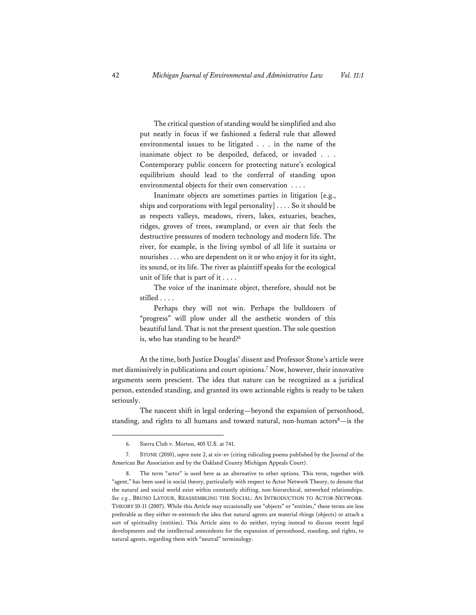The critical question of standing would be simplified and also put neatly in focus if we fashioned a federal rule that allowed environmental issues to be litigated . . . in the name of the inanimate object to be despoiled, defaced, or invaded . . . Contemporary public concern for protecting nature's ecological equilibrium should lead to the conferral of standing upon environmental objects for their own conservation . . . .

Inanimate objects are sometimes parties in litigation [e.g., ships and corporations with legal personality] . . . . So it should be as respects valleys, meadows, rivers, lakes, estuaries, beaches, ridges, groves of trees, swampland, or even air that feels the destructive pressures of modern technology and modern life. The river, for example, is the living symbol of all life it sustains or nourishes . . . who are dependent on it or who enjoy it for its sight, its sound, or its life. The river as plaintiff speaks for the ecological unit of life that is part of it . . . .

The voice of the inanimate object, therefore, should not be stilled . . . .

Perhaps they will not win. Perhaps the bulldozers of "progress" will plow under all the aesthetic wonders of this beautiful land. That is not the present question. The sole question is, who has standing to be heard?<sup>6</sup>

At the time, both Justice Douglas' dissent and Professor Stone's article were met dismissively in publications and court opinions.7 Now, however, their innovative arguments seem prescient. The idea that nature can be recognized as a juridical person, extended standing, and granted its own actionable rights is ready to be taken seriously.

The nascent shift in legal ordering—beyond the expansion of personhood, standing, and rights to all humans and toward natural, non-human actors<sup>8</sup>—is the

<sup>6.</sup> Sierra Club v. Morton, 405 U.S. at 741.

<sup>7.</sup> STONE (2010), *supra* note 2, at xiv-xv (citing ridiculing poems published by the Journal of the American Bar Association and by the Oakland County Michigan Appeals Court).

<sup>8.</sup> The term "actor" is used here as an alternative to other options. This term, together with "agent," has been used in social theory, particularly with respect to Actor Network Theory, to denote that the natural and social world exist within constantly shifting, non-hierarchical, networked relationships. *See e.g.*, BRUNO LATOUR, REASSEMBLING THE SOCIAL: AN INTRODUCTION TO ACTOR-NETWORK-THEORY 10-11 (2007). While this Article may occasionally use "objects" or "entities," these terms are less preferable as they either re-entrench the idea that natural agents are material things (objects) or attach a sort of spirituality (entities). This Article aims to do neither, trying instead to discuss recent legal developments and the intellectual antecedents for the expansion of personhood, standing, and rights, to natural agents, regarding them with "neutral" terminology.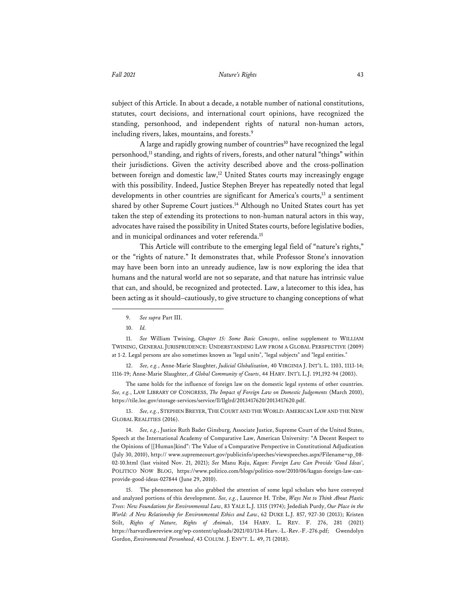subject of this Article. In about a decade, a notable number of national constitutions,

statutes, court decisions, and international court opinions, have recognized the standing, personhood, and independent rights of natural non-human actors, including rivers, lakes, mountains, and forests.<sup>9</sup>

A large and rapidly growing number of countries<sup>10</sup> have recognized the legal personhood,<sup>11</sup> standing, and rights of rivers, forests, and other natural "things" within their jurisdictions. Given the activity described above and the cross-pollination between foreign and domestic law,<sup>12</sup> United States courts may increasingly engage with this possibility. Indeed, Justice Stephen Breyer has repeatedly noted that legal developments in other countries are significant for America's courts,<sup>13</sup> a sentiment shared by other Supreme Court justices.<sup>14</sup> Although no United States court has yet taken the step of extending its protections to non-human natural actors in this way, advocates have raised the possibility in United States courts, before legislative bodies, and in municipal ordinances and voter referenda.<sup>15</sup>

This Article will contribute to the emerging legal field of "nature's rights," or the "rights of nature." It demonstrates that, while Professor Stone's innovation may have been born into an unready audience, law is now exploring the idea that humans and the natural world are not so separate, and that nature has intrinsic value that can, and should, be recognized and protected. Law, a latecomer to this idea, has been acting as it should–cautiously, to give structure to changing conceptions of what

11. *See* William Twining, *Chapter 15: Some Basic Concepts*, online supplement to WILLIAM TWINING, GENERAL JURISPRUDENCE: UNDERSTANDING LAW FROM A GLOBAL PERSPECTIVE (2009) at 1-2. Legal persons are also sometimes known as "legal units", "legal subjects" and "legal entities."

12. *See, e.g.*, Anne-Marie Slaughter, *Judicial Globalization*, 40 VIRGINIA J. INT'L L. 1103, 1113-14; 1116-19; Anne-Marie Slaughter, *A Global Community of Courts*, 44 HARV. INT'L L.J. 191,192-94 (2003).

The same holds for the influence of foreign law on the domestic legal systems of other countries. *See, e.g.*, LAW LIBRARY OF CONGRESS, *The Impact of Foreign Law on Domestic Judgements* (March 2010), https://tile.loc.gov/storage-services/service/ll/llglrd/2013417620/2013417620.pdf.

13. See, e.g., STEPHEN BREYER, THE COURT AND THE WORLD: AMERICAN LAW AND THE NEW GLOBAL REALITIES (2016).

14. *See, e.g.*, Justice Ruth Bader Ginsburg, Associate Justice, Supreme Court of the United States, Speech at the International Academy of Comparative Law, American University: "A Decent Respect to the Opinions of [[Human]kind": The Value of a Comparative Perspective in Constitutional Adjudication (July 30, 2010), http:// www.supremecourt.gov/publicinfo/speeches/viewspeeches.aspx?Filename=sp\_08- 02-10.html (last visited Nov. 21, 2021); *See* Manu Raju, *Kagan: Foreign Law Can Provide 'Good Ideas'*, POLITICO NOW BLOG, https://www.politico.com/blogs/politico-now/2010/06/kagan-foreign-law-canprovide-good-ideas-027844 (June 29, 2010).

15. The phenomenon has also grabbed the attention of some legal scholars who have conveyed and analyzed portions of this development. *See, e.g.*, Laurence H. Tribe, *Ways Not to Think About Plastic Trees: New Foundations for Environmental Law*, 83 YALE L.J. 1315 (1974); Jedediah Purdy, *Our Place in the World: A New Relationship for Environmental Ethics and Law*, 62 DUKE L.J. 857, 927-30 (2013); Kristen Stilt, *Rights of Nature, Rights of Animals*, 134 HARV. L. REV. F. 276, 281 (2021) https://harvardlawreview.org/wp-content/uploads/2021/03/134-Harv.-L.-Rev.-F.-276.pdf; Gwendolyn Gordon, *Environmental Personhood*, 43 COLUM. J. ENV'T. L. 49, 71 (2018).

<sup>9.</sup> *See supra* Part III.

<sup>10.</sup> *Id.*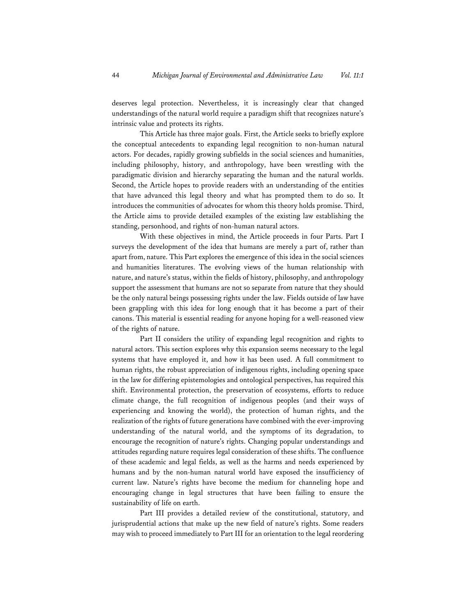deserves legal protection. Nevertheless, it is increasingly clear that changed understandings of the natural world require a paradigm shift that recognizes nature's intrinsic value and protects its rights.

This Article has three major goals. First, the Article seeks to briefly explore the conceptual antecedents to expanding legal recognition to non-human natural actors. For decades, rapidly growing subfields in the social sciences and humanities, including philosophy, history, and anthropology, have been wrestling with the paradigmatic division and hierarchy separating the human and the natural worlds. Second, the Article hopes to provide readers with an understanding of the entities that have advanced this legal theory and what has prompted them to do so. It introduces the communities of advocates for whom this theory holds promise. Third, the Article aims to provide detailed examples of the existing law establishing the standing, personhood, and rights of non-human natural actors.

With these objectives in mind, the Article proceeds in four Parts. Part I surveys the development of the idea that humans are merely a part of, rather than apart from, nature. This Part explores the emergence of this idea in the social sciences and humanities literatures. The evolving views of the human relationship with nature, and nature's status, within the fields of history, philosophy, and anthropology support the assessment that humans are not so separate from nature that they should be the only natural beings possessing rights under the law. Fields outside of law have been grappling with this idea for long enough that it has become a part of their canons. This material is essential reading for anyone hoping for a well-reasoned view of the rights of nature.

Part II considers the utility of expanding legal recognition and rights to natural actors. This section explores why this expansion seems necessary to the legal systems that have employed it, and how it has been used. A full commitment to human rights, the robust appreciation of indigenous rights, including opening space in the law for differing epistemologies and ontological perspectives, has required this shift. Environmental protection, the preservation of ecosystems, efforts to reduce climate change, the full recognition of indigenous peoples (and their ways of experiencing and knowing the world), the protection of human rights, and the realization of the rights of future generations have combined with the ever-improving understanding of the natural world, and the symptoms of its degradation, to encourage the recognition of nature's rights. Changing popular understandings and attitudes regarding nature requires legal consideration of these shifts. The confluence of these academic and legal fields, as well as the harms and needs experienced by humans and by the non-human natural world have exposed the insufficiency of current law. Nature's rights have become the medium for channeling hope and encouraging change in legal structures that have been failing to ensure the sustainability of life on earth.

Part III provides a detailed review of the constitutional, statutory, and jurisprudential actions that make up the new field of nature's rights. Some readers may wish to proceed immediately to Part III for an orientation to the legal reordering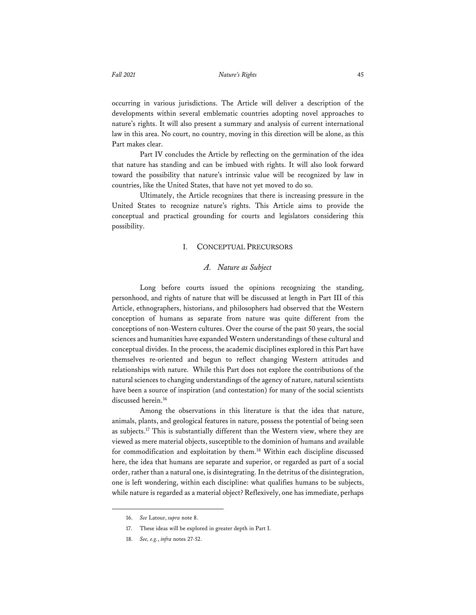occurring in various jurisdictions. The Article will deliver a description of the developments within several emblematic countries adopting novel approaches to nature's rights. It will also present a summary and analysis of current international law in this area. No court, no country, moving in this direction will be alone, as this Part makes clear.

Part IV concludes the Article by reflecting on the germination of the idea that nature has standing and can be imbued with rights. It will also look forward toward the possibility that nature's intrinsic value will be recognized by law in countries, like the United States, that have not yet moved to do so.

Ultimately, the Article recognizes that there is increasing pressure in the United States to recognize nature's rights. This Article aims to provide the conceptual and practical grounding for courts and legislators considering this possibility.

#### I. CONCEPTUAL PRECURSORS

# *A. Nature as Subject*

Long before courts issued the opinions recognizing the standing, personhood, and rights of nature that will be discussed at length in Part III of this Article, ethnographers, historians, and philosophers had observed that the Western conception of humans as separate from nature was quite different from the conceptions of non-Western cultures. Over the course of the past 50 years, the social sciences and humanities have expanded Western understandings of these cultural and conceptual divides. In the process, the academic disciplines explored in this Part have themselves re-oriented and begun to reflect changing Western attitudes and relationships with nature. While this Part does not explore the contributions of the natural sciences to changing understandings of the agency of nature, natural scientists have been a source of inspiration (and contestation) for many of the social scientists discussed herein.<sup>16</sup>

Among the observations in this literature is that the idea that nature, animals, plants, and geological features in nature, possess the potential of being seen as subjects.17 This is substantially different than the Western view, where they are viewed as mere material objects, susceptible to the dominion of humans and available for commodification and exploitation by them.<sup>18</sup> Within each discipline discussed here, the idea that humans are separate and superior, or regarded as part of a social order, rather than a natural one, is disintegrating. In the detritus of the disintegration, one is left wondering, within each discipline: what qualifies humans to be subjects, while nature is regarded as a material object? Reflexively, one has immediate, perhaps

<sup>16.</sup> *See* Latour, *supra* note 8.

<sup>17.</sup> These ideas will be explored in greater depth in Part I.

<sup>18.</sup> *See, e.g.*, *infra* notes 27-52.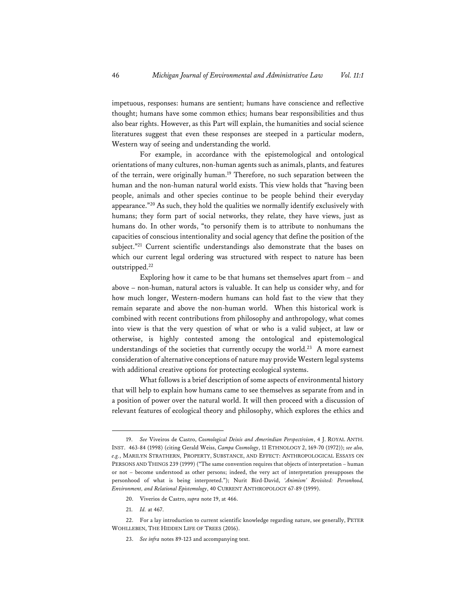impetuous, responses: humans are sentient; humans have conscience and reflective thought; humans have some common ethics; humans bear responsibilities and thus also bear rights. However, as this Part will explain, the humanities and social science literatures suggest that even these responses are steeped in a particular modern, Western way of seeing and understanding the world.

For example, in accordance with the epistemological and ontological orientations of many cultures, non-human agents such as animals, plants, and features of the terrain, were originally human.<sup>19</sup> Therefore, no such separation between the human and the non-human natural world exists. This view holds that "having been people, animals and other species continue to be people behind their everyday appearance."20 As such, they hold the qualities we normally identify exclusively with humans; they form part of social networks, they relate, they have views, just as humans do. In other words, "to personify them is to attribute to nonhumans the capacities of conscious intentionality and social agency that define the position of the subject."<sup>21</sup> Current scientific understandings also demonstrate that the bases on which our current legal ordering was structured with respect to nature has been outstripped.22

Exploring how it came to be that humans set themselves apart from – and above – non-human, natural actors is valuable. It can help us consider why, and for how much longer, Western-modern humans can hold fast to the view that they remain separate and above the non-human world. When this historical work is combined with recent contributions from philosophy and anthropology, what comes into view is that the very question of what or who is a valid subject, at law or otherwise, is highly contested among the ontological and epistemological understandings of the societies that currently occupy the world.<sup>23</sup> A more earnest consideration of alternative conceptions of nature may provide Western legal systems with additional creative options for protecting ecological systems.

What follows is a brief description of some aspects of environmental history that will help to explain how humans came to see themselves as separate from and in a position of power over the natural world. It will then proceed with a discussion of relevant features of ecological theory and philosophy, which explores the ethics and

- 20. Viverios de Castro, *supra* note 19, at 466.
- 21. *Id.* at 467.

23. *See infra* notes 89-123 and accompanying text.

<sup>19.</sup> *See* Viveiros de Castro, *Cosmological Deixis and Amerindian Perspectivism*, 4 J. ROYAL ANTH. INST. 463-84 (1998) (citing Gerald Weiss, *Campa Cosmology*, 11 ETHNOLOGY 2, 169-70 (1972)); *see also, e.g.*, MARILYN STRATHERN, PROPERTY, SUBSTANCE, AND EFFECT: ANTHROPOLOGICAL ESSAYS ON PERSONS AND THINGS 239 (1999) ("The same convention requires that objects of interpretation – human or not – become understood as other persons; indeed, the very act of interpretation presupposes the personhood of what is being interpreted."); Nurit Bird-David, *'Animism' Revisited: Personhood, Environment, and Relational Epistemology*, 40 CURRENT ANTHROPOLOGY 67-89 (1999).

<sup>22.</sup> For a lay introduction to current scientific knowledge regarding nature, see generally, PETER WOHLLEBEN, THE HIDDEN LIFE OF TREES (2016).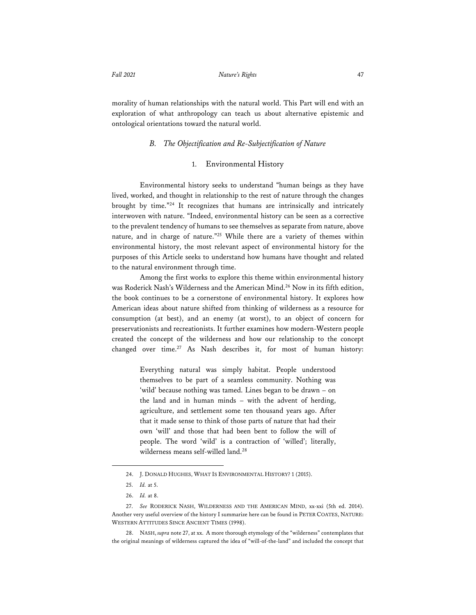morality of human relationships with the natural world. This Part will end with an exploration of what anthropology can teach us about alternative epistemic and ontological orientations toward the natural world.

### *B. The Objectification and Re-Subjectification of Nature*

#### 1. Environmental History

Environmental history seeks to understand "human beings as they have lived, worked, and thought in relationship to the rest of nature through the changes brought by time."24 It recognizes that humans are intrinsically and intricately interwoven with nature. "Indeed, environmental history can be seen as a corrective to the prevalent tendency of humans to see themselves as separate from nature, above nature, and in charge of nature."25 While there are a variety of themes within environmental history, the most relevant aspect of environmental history for the purposes of this Article seeks to understand how humans have thought and related to the natural environment through time.

Among the first works to explore this theme within environmental history was Roderick Nash's Wilderness and the American Mind.26 Now in its fifth edition, the book continues to be a cornerstone of environmental history. It explores how American ideas about nature shifted from thinking of wilderness as a resource for consumption (at best), and an enemy (at worst), to an object of concern for preservationists and recreationists. It further examines how modern-Western people created the concept of the wilderness and how our relationship to the concept changed over time.<sup>27</sup> As Nash describes it, for most of human history:

> Everything natural was simply habitat. People understood themselves to be part of a seamless community. Nothing was 'wild' because nothing was tamed. Lines began to be drawn – on the land and in human minds – with the advent of herding, agriculture, and settlement some ten thousand years ago. After that it made sense to think of those parts of nature that had their own 'will' and those that had been bent to follow the will of people. The word 'wild' is a contraction of 'willed'; literally, wilderness means self-willed land.28

28. NASH, *supra* note 27, at xx. A more thorough etymology of the "wilderness" contemplates that the original meanings of wilderness captured the idea of "will-of-the-land" and included the concept that

<sup>24.</sup> J. DONALD HUGHES, WHAT IS ENVIRONMENTAL HISTORY? 1 (2015).

<sup>25.</sup> *Id.* at 5.

<sup>26.</sup> *Id.* at 8.

<sup>27.</sup> *See* RODERICK NASH, WILDERNESS AND THE AMERICAN MIND, xx-xxi (5th ed. 2014). Another very useful overview of the history I summarize here can be found in PETER COATES, NATURE: WESTERN ATTITUDES SINCE ANCIENT TIMES (1998).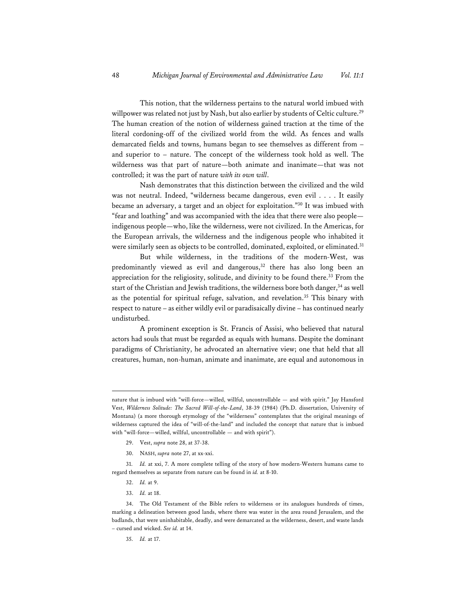This notion, that the wilderness pertains to the natural world imbued with willpower was related not just by Nash, but also earlier by students of Celtic culture.<sup>29</sup> The human creation of the notion of wilderness gained traction at the time of the literal cordoning-off of the civilized world from the wild. As fences and walls demarcated fields and towns, humans began to see themselves as different from – and superior to – nature. The concept of the wilderness took hold as well. The wilderness was that part of nature—both animate and inanimate—that was not controlled; it was the part of nature *with its own will*.

Nash demonstrates that this distinction between the civilized and the wild was not neutral. Indeed, "wilderness became dangerous, even evil . . . . It easily became an adversary, a target and an object for exploitation."30 It was imbued with "fear and loathing" and was accompanied with the idea that there were also people indigenous people—who, like the wilderness, were not civilized. In the Americas, for the European arrivals, the wilderness and the indigenous people who inhabited it were similarly seen as objects to be controlled, dominated, exploited, or eliminated.<sup>31</sup>

But while wilderness, in the traditions of the modern-West, was predominantly viewed as evil and dangerous,<sup>32</sup> there has also long been an appreciation for the religiosity, solitude, and divinity to be found there.<sup>33</sup> From the start of the Christian and Jewish traditions, the wilderness bore both danger,<sup>34</sup> as well as the potential for spiritual refuge, salvation, and revelation.35 This binary with respect to nature – as either wildly evil or paradisaically divine – has continued nearly undisturbed.

A prominent exception is St. Francis of Assisi, who believed that natural actors had souls that must be regarded as equals with humans. Despite the dominant paradigms of Christianity, he advocated an alternative view; one that held that all creatures, human, non-human, animate and inanimate, are equal and autonomous in

- 29. Vest, *supra* note 28, at 37-38.
- 30. NASH, *supra* note 27, at xx-xxi.

- 32. *Id.* at 9.
- 33. *Id.* at 18.

35. *Id.* at 17.

nature that is imbued with "will-force—willed, willful, uncontrollable — and with spirit." Jay Hansford Vest, *Wilderness Solitude: The Sacred Will-of-the-Land*, 38-39 (1984) (Ph.D. dissertation, University of Montana) (a more thorough etymology of the "wilderness" contemplates that the original meanings of wilderness captured the idea of "will-of-the-land" and included the concept that nature that is imbued with "will-force—willed, willful, uncontrollable — and with spirit").

<sup>31.</sup> *Id.* at xxi, 7. A more complete telling of the story of how modern-Western humans came to regard themselves as separate from nature can be found in *id.* at 8-10.

<sup>34.</sup> The Old Testament of the Bible refers to wilderness or its analogues hundreds of times, marking a delineation between good lands, where there was water in the area round Jerusalem, and the badlands, that were uninhabitable, deadly, and were demarcated as the wilderness, desert, and waste lands – cursed and wicked. *See id.* at 14.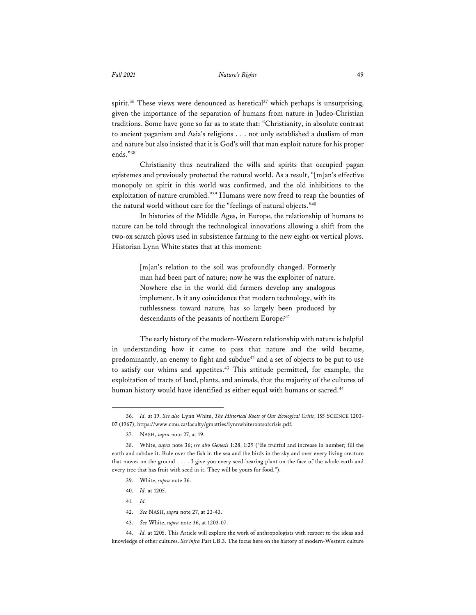spirit.<sup>36</sup> These views were denounced as heretical<sup>37</sup> which perhaps is unsurprising, given the importance of the separation of humans from nature in Judeo-Christian traditions. Some have gone so far as to state that: "Christianity, in absolute contrast to ancient paganism and Asia's religions . . . not only established a dualism of man and nature but also insisted that it is God's will that man exploit nature for his proper ends."38

Christianity thus neutralized the wills and spirits that occupied pagan epistemes and previously protected the natural world. As a result, "[m]an's effective monopoly on spirit in this world was confirmed, and the old inhibitions to the exploitation of nature crumbled."39 Humans were now freed to reap the bounties of the natural world without care for the "feelings of natural objects."40

In histories of the Middle Ages, in Europe, the relationship of humans to nature can be told through the technological innovations allowing a shift from the two-ox scratch plows used in subsistence farming to the new eight-ox vertical plows. Historian Lynn White states that at this moment:

> [m]an's relation to the soil was profoundly changed. Formerly man had been part of nature; now he was the exploiter of nature. Nowhere else in the world did farmers develop any analogous implement. Is it any coincidence that modern technology, with its ruthlessness toward nature, has so largely been produced by descendants of the peasants of northern Europe?<sup>41</sup>

The early history of the modern-Western relationship with nature is helpful in understanding how it came to pass that nature and the wild became, predominantly, an enemy to fight and subdue<sup>42</sup> and a set of objects to be put to use to satisfy our whims and appetites.43 This attitude permitted, for example, the exploitation of tracts of land, plants, and animals, that the majority of the cultures of human history would have identified as either equal with humans or sacred.<sup>44</sup>

- 39. White, *supra* note 36.
- 40. *Id.* at 1205.
- 41. *Id.*
- 42. *See* NASH, *supra* note 27, at 23-43.
- 43. *See* White, *supra* note 36, at 1203-07.

44. *Id.* at 1205. This Article will explore the work of anthropologists with respect to the ideas and knowledge of other cultures. *See infra* Part I.B.3. The focus here on the history of modern-Western culture

<sup>36.</sup> *Id.* at 19. *See also* Lynn White, *The Historical Roots of Our Ecological Crisis*, 155 SCIENCE 1203- 07 (1967), https://www.cmu.ca/faculty/gmatties/lynnwhiterootsofcrisis.pdf*.*

<sup>37.</sup> NASH, *supra* note 27, at 19.

<sup>38.</sup> White, *supra* note 36; *see also Genesis* 1:28, 1:29 ("Be fruitful and increase in number; fill the earth and subdue it. Rule over the fish in the sea and the birds in the sky and over every living creature that moves on the ground . . . . I give you every seed-bearing plant on the face of the whole earth and every tree that has fruit with seed in it. They will be yours for food.").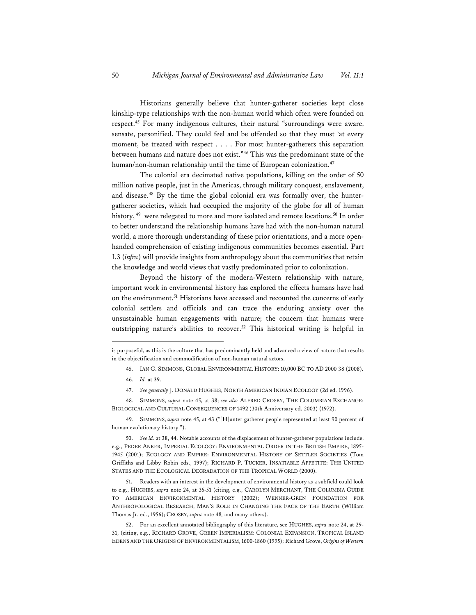Historians generally believe that hunter-gatherer societies kept close kinship-type relationships with the non-human world which often were founded on respect.45 For many indigenous cultures, their natural "surroundings were aware, sensate, personified. They could feel and be offended so that they must 'at every moment, be treated with respect . . . . For most hunter-gatherers this separation between humans and nature does not exist."46 This was the predominant state of the human/non-human relationship until the time of European colonization.<sup>47</sup>

The colonial era decimated native populations, killing on the order of 50 million native people, just in the Americas, through military conquest, enslavement, and disease.<sup>48</sup> By the time the global colonial era was formally over, the huntergatherer societies, which had occupied the majority of the globe for all of human history, <sup>49</sup> were relegated to more and more isolated and remote locations.<sup>50</sup> In order to better understand the relationship humans have had with the non-human natural world, a more thorough understanding of these prior orientations, and a more openhanded comprehension of existing indigenous communities becomes essential. Part I.3 (*infra*) will provide insights from anthropology about the communities that retain the knowledge and world views that vastly predominated prior to colonization.

Beyond the history of the modern-Western relationship with nature, important work in environmental history has explored the effects humans have had on the environment.<sup>51</sup> Historians have accessed and recounted the concerns of early colonial settlers and officials and can trace the enduring anxiety over the unsustainable human engagements with nature; the concern that humans were outstripping nature's abilities to recover.52 This historical writing is helpful in

45. IAN G. SIMMONS, GLOBAL ENVIRONMENTAL HISTORY: 10,000 BC TO AD 2000 38 (2008).

47. *See generally* J. DONALD HUGHES, NORTH AMERICAN INDIAN ECOLOGY (2d ed. 1996).

48. SIMMONS, *supra* note 45, at 38; *see also* ALFRED CROSBY, THE COLUMBIAN EXCHANGE: BIOLOGICAL AND CULTURAL CONSEQUENCES OF 1492 (30th Anniversary ed. 2003) (1972).

49. SIMMONS, *supra* note 45, at 43 ("[H]unter gatherer people represented at least 90 percent of human evolutionary history.").

51. Readers with an interest in the development of environmental history as a subfield could look to e.g., HUGHES, *supra* note 24, at 35-51 (citing, e.g., CAROLYN MERCHANT, THE COLUMBIA GUIDE TO AMERICAN ENVIRONMENTAL HISTORY (2002); WENNER-GREN FOUNDATION FOR ANTHROPOLOGICAL RESEARCH, MAN'S ROLE IN CHANGING THE FACE OF THE EARTH (William Thomas Jr. ed., 1956); CROSBY, *supra* note 48*,* and many others).

52. For an excellent annotated bibliography of this literature, see HUGHES, *supra* note 24, at 29- 31, (citing, e.g., RICHARD GROVE, GREEN IMPERIALISM: COLONIAL EXPANSION, TROPICAL ISLAND EDENS AND THE ORIGINS OF ENVIRONMENTALISM,1600-1860 (1995); Richard Grove, *Origins of Western* 

is purposeful, as this is the culture that has predominantly held and advanced a view of nature that results in the objectification and commodification of non-human natural actors.

<sup>46.</sup> *Id.* at 39.

<sup>50.</sup> *See id.* at 38, 44. Notable accounts of the displacement of hunter-gatherer populations include, e.g., PEDER ANKER, IMPERIAL ECOLOGY: ENVIRONMENTAL ORDER IN THE BRITISH EMPIRE, 1895- 1945 (2001); ECOLOGY AND EMPIRE: ENVIRONMENTAL HISTORY OF SETTLER SOCIETIES (Tom Griffiths and Libby Robin eds., 1997); RICHARD P. TUCKER, INSATIABLE APPETITE: THE UNITED STATES AND THE ECOLOGICAL DEGRADATION OF THE TROPICAL WORLD (2000).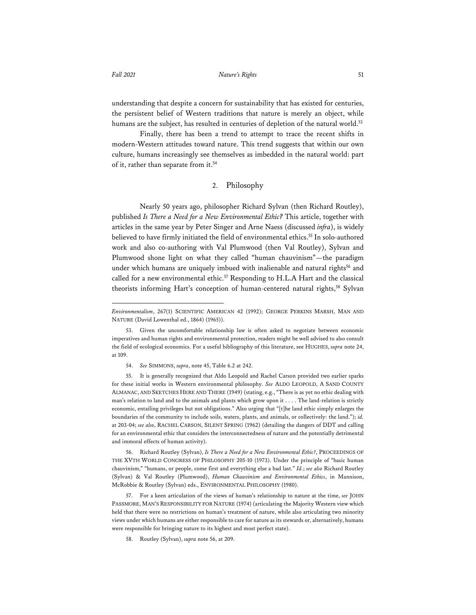understanding that despite a concern for sustainability that has existed for centuries, the persistent belief of Western traditions that nature is merely an object, while humans are the subject, has resulted in centuries of depletion of the natural world.<sup>53</sup>

Finally, there has been a trend to attempt to trace the recent shifts in modern-Western attitudes toward nature. This trend suggests that within our own culture, humans increasingly see themselves as imbedded in the natural world: part of it, rather than separate from it.54

# 2. Philosophy

Nearly 50 years ago, philosopher Richard Sylvan (then Richard Routley), published *Is There a Need for a New Environmental Ethic?* This article, together with articles in the same year by Peter Singer and Arne Naess (discussed *infra*), is widely believed to have firmly initiated the field of environmental ethics.55 In solo-authored work and also co-authoring with Val Plumwood (then Val Routley), Sylvan and Plumwood shone light on what they called "human chauvinism"—the paradigm under which humans are uniquely imbued with inalienable and natural rights<sup>56</sup> and called for a new environmental ethic.<sup>57</sup> Responding to H.L.A Hart and the classical theorists informing Hart's conception of human-centered natural rights,<sup>58</sup> Sylvan

55. It is generally recognized that Aldo Leopold and Rachel Carson provided two earlier sparks for these initial works in Western environmental philosophy. *See* ALDO LEOPOLD, A SAND COUNTY ALMANAC, AND SKETCHES HERE AND THERE (1949) (stating, e.g., "There is as yet no ethic dealing with man's relation to land and to the animals and plants which grow upon it . . . . The land-relation is strictly economic, entailing privileges but not obligations." Also urging that "[t]he land ethic simply enlarges the boundaries of the community to include soils, waters, plants, and animals, or collectively: the land."); *id.* at 203-04; *see also*, RACHEL CARSON, SILENT SPRING (1962) (detailing the dangers of DDT and calling for an environmental ethic that considers the interconnectedness of nature and the potentially detrimental and immoral effects of human activity).

56. Richard Routley (Sylvan), *Is There a Need for a New Environmental Ethic*?, PROCEEDINGS OF THE XVTH WORLD CONGRESS OF PHILOSOPHY 205-10 (1973). Under the principle of "basic human chauvinism," "humans, or people, come first and everything else a bad last." *Id.*; *see also* Richard Routley (Sylvan) & Val Routley (Plumwood), *Human Chauvinism and Environmental Ethics*, in Mannison, McRobbie & Routley (Sylvan) eds., ENVIRONMENTAL PHILOSOPHY (1980).

57. For a keen articulation of the views of human's relationship to nature at the time, *see* JOHN PASSMORE, MAN'S RESPONSIBILITY FOR NATURE (1974) (articulating the Majority Western view which held that there were no restrictions on human's treatment of nature, while also articulating two minority views under which humans are either responsible to care for nature as its stewards or, alternatively, humans were responsible for bringing nature to its highest and most perfect state).

*Environmentalism*, 267(1) SCIENTIFIC AMERICAN 42 (1992); GEORGE PERKINS MARSH, MAN AND NATURE (David Lowenthal ed., 1864) (1965)).

<sup>53.</sup> Given the uncomfortable relationship law is often asked to negotiate between economic imperatives and human rights and environmental protection, readers might be well advised to also consult the field of ecological economics. For a useful bibliography of this literature, see HUGHES, *supra* note 24, at 109.

<sup>54.</sup> *See* SIMMONS, *supra*, note 45, Table 6.2 at 242.

<sup>58.</sup> Routley (Sylvan), *supra* note 56, at 209.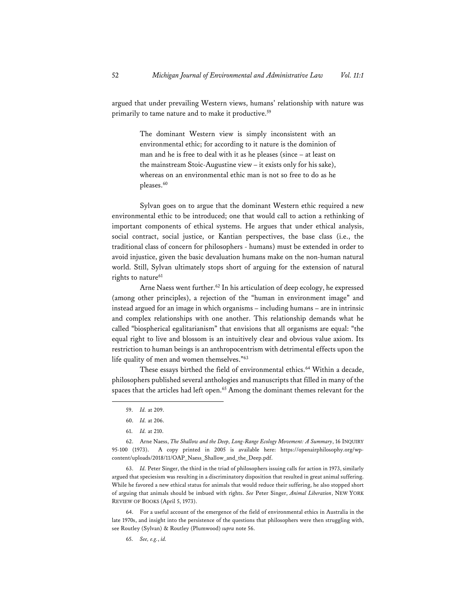argued that under prevailing Western views, humans' relationship with nature was primarily to tame nature and to make it productive.<sup>59</sup>

> The dominant Western view is simply inconsistent with an environmental ethic; for according to it nature is the dominion of man and he is free to deal with it as he pleases (since – at least on the mainstream Stoic-Augustine view – it exists only for his sake), whereas on an environmental ethic man is not so free to do as he pleases.<sup>60</sup>

Sylvan goes on to argue that the dominant Western ethic required a new environmental ethic to be introduced; one that would call to action a rethinking of important components of ethical systems. He argues that under ethical analysis, social contract, social justice, or Kantian perspectives, the base class (i.e., the traditional class of concern for philosophers - humans) must be extended in order to avoid injustice, given the basic devaluation humans make on the non-human natural world. Still, Sylvan ultimately stops short of arguing for the extension of natural rights to nature<sup>61</sup>

Arne Naess went further.<sup>62</sup> In his articulation of deep ecology, he expressed (among other principles), a rejection of the "human in environment image" and instead argued for an image in which organisms – including humans – are in intrinsic and complex relationships with one another. This relationship demands what he called "biospherical egalitarianism" that envisions that all organisms are equal: "the equal right to live and blossom is an intuitively clear and obvious value axiom. Its restriction to human beings is an anthropocentrism with detrimental effects upon the life quality of men and women themselves."63

These essays birthed the field of environmental ethics.<sup>64</sup> Within a decade, philosophers published several anthologies and manuscripts that filled in many of the spaces that the articles had left open.<sup>65</sup> Among the dominant themes relevant for the

63. *Id.* Peter Singer, the third in the triad of philosophers issuing calls for action in 1973, similarly argued that speciesism was resulting in a discriminatory disposition that resulted in great animal suffering. While he favored a new ethical status for animals that would reduce their suffering, he also stopped short of arguing that animals should be imbued with rights. *See* Peter Singer, *Animal Liberation*, NEW YORK REVIEW OF BOOKS (April 5, 1973).

64. For a useful account of the emergence of the field of environmental ethics in Australia in the late 1970s, and insight into the persistence of the questions that philosophers were then struggling with, see Routley (Sylvan) & Routley (Plumwood) *supra* note 56.

65. *See, e.g.*, *id.* 

<sup>59.</sup> *Id.* at 209.

<sup>60.</sup> *Id.* at 206.

<sup>61.</sup> *Id.* at 210.

<sup>62.</sup> Arne Naess, *The Shallow and the Deep, Long-Range Ecology Movement: A Summary*, 16 INQUIRY 95-100 (1973). A copy printed in 2005 is available here: https://openairphilosophy.org/wpcontent/uploads/2018/11/OAP\_Naess\_Shallow\_and\_the\_Deep.pdf.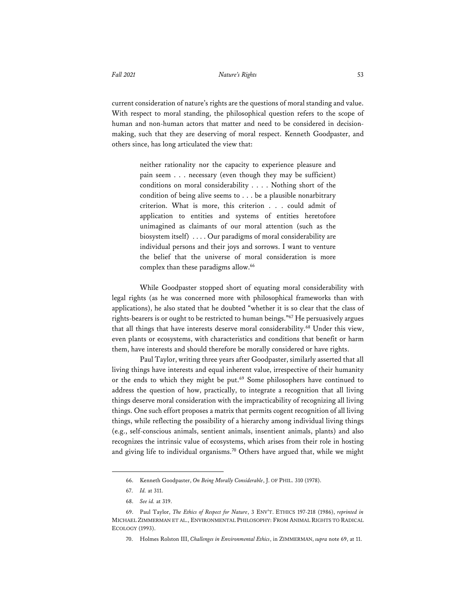current consideration of nature's rights are the questions of moral standing and value. With respect to moral standing, the philosophical question refers to the scope of human and non-human actors that matter and need to be considered in decisionmaking, such that they are deserving of moral respect. Kenneth Goodpaster, and others since, has long articulated the view that:

> neither rationality nor the capacity to experience pleasure and pain seem . . . necessary (even though they may be sufficient) conditions on moral considerability . . . . Nothing short of the condition of being alive seems to . . . be a plausible nonarbitrary criterion. What is more, this criterion . . . could admit of application to entities and systems of entities heretofore unimagined as claimants of our moral attention (such as the biosystem itself) . . . . Our paradigms of moral considerability are individual persons and their joys and sorrows. I want to venture the belief that the universe of moral consideration is more complex than these paradigms allow.<sup>66</sup>

While Goodpaster stopped short of equating moral considerability with legal rights (as he was concerned more with philosophical frameworks than with applications), he also stated that he doubted "whether it is so clear that the class of rights-bearers is or ought to be restricted to human beings."67 He persuasively argues that all things that have interests deserve moral considerability.<sup>68</sup> Under this view, even plants or ecosystems, with characteristics and conditions that benefit or harm them, have interests and should therefore be morally considered or have rights.

Paul Taylor, writing three years after Goodpaster, similarly asserted that all living things have interests and equal inherent value, irrespective of their humanity or the ends to which they might be put.<sup>69</sup> Some philosophers have continued to address the question of how, practically, to integrate a recognition that all living things deserve moral consideration with the impracticability of recognizing all living things. One such effort proposes a matrix that permits cogent recognition of all living things, while reflecting the possibility of a hierarchy among individual living things (e.g., self-conscious animals, sentient animals, insentient animals, plants) and also recognizes the intrinsic value of ecosystems, which arises from their role in hosting and giving life to individual organisms.<sup>70</sup> Others have argued that, while we might

<sup>66.</sup> Kenneth Goodpaster, *On Being Morally Considerable*, J. OF PHIL. 310 (1978).

<sup>67.</sup> *Id.* at 311.

<sup>68.</sup> *See id.* at 319.

<sup>69.</sup> Paul Taylor, *The Ethics of Respect for Nature*, 3 ENV'T. ETHICS 197-218 (1986), *reprinted in* MICHAEL ZIMMERMAN ET AL., ENVIRONMENTAL PHILOSOPHY: FROM ANIMAL RIGHTS TO RADICAL ECOLOGY (1993).

<sup>70.</sup> Holmes Rolston III, *Challenges in Environmental Ethics*, in ZIMMERMAN, *supra* note 69, at 11.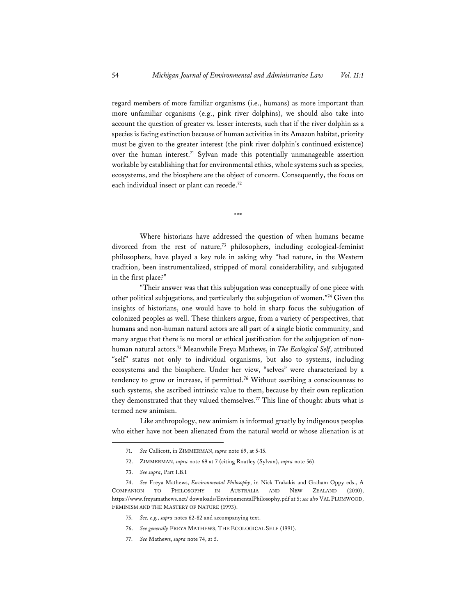regard members of more familiar organisms (i.e., humans) as more important than more unfamiliar organisms (e.g., pink river dolphins), we should also take into account the question of greater vs. lesser interests, such that if the river dolphin as a species is facing extinction because of human activities in its Amazon habitat, priority must be given to the greater interest (the pink river dolphin's continued existence) over the human interest.<sup>71</sup> Sylvan made this potentially unmanageable assertion workable by establishing that for environmental ethics, whole systems such as species, ecosystems, and the biosphere are the object of concern. Consequently, the focus on each individual insect or plant can recede.72

\*\*\*

Where historians have addressed the question of when humans became divorced from the rest of nature,<sup>73</sup> philosophers, including ecological-feminist philosophers, have played a key role in asking why "had nature, in the Western tradition, been instrumentalized, stripped of moral considerability, and subjugated in the first place?"

"Their answer was that this subjugation was conceptually of one piece with other political subjugations, and particularly the subjugation of women."74 Given the insights of historians, one would have to hold in sharp focus the subjugation of colonized peoples as well. These thinkers argue, from a variety of perspectives, that humans and non-human natural actors are all part of a single biotic community, and many argue that there is no moral or ethical justification for the subjugation of nonhuman natural actors.75 Meanwhile Freya Mathews, in *The Ecological Self*, attributed "self" status not only to individual organisms, but also to systems, including ecosystems and the biosphere. Under her view, "selves" were characterized by a tendency to grow or increase, if permitted.76 Without ascribing a consciousness to such systems, she ascribed intrinsic value to them, because by their own replication they demonstrated that they valued themselves.<sup>77</sup> This line of thought abuts what is termed new animism.

Like anthropology, new animism is informed greatly by indigenous peoples who either have not been alienated from the natural world or whose alienation is at

- 72. ZIMMERMAN, *supra* note 69 at 7 (citing Routley (Sylvan), *supra* note 56).
- 73. *See supra*, Part I.B.I

- 75. *See, e.g.*, *supra* notes 62-82 and accompanying text.
- 76. *See generally* FREYA MATHEWS, THE ECOLOGICAL SELF (1991).
- 77. *See* Mathews, *supra* note 74, at 5.

<sup>71.</sup> *See* Callicott, in ZIMMERMAN, *supra* note 69, at 5-15.

<sup>74.</sup> *See* Freya Mathews, *Environmental Philosophy*, in Nick Trakakis and Graham Oppy eds., A COMPANION TO PHILOSOPHY IN AUSTRALIA AND NEW ZEALAND (2010), https://www.freyamathews.net/ downloads/EnvironmentalPhilosophy.pdf at 5; *see also* VAL PLUMWOOD, FEMINISM AND THE MASTERY OF NATURE (1993).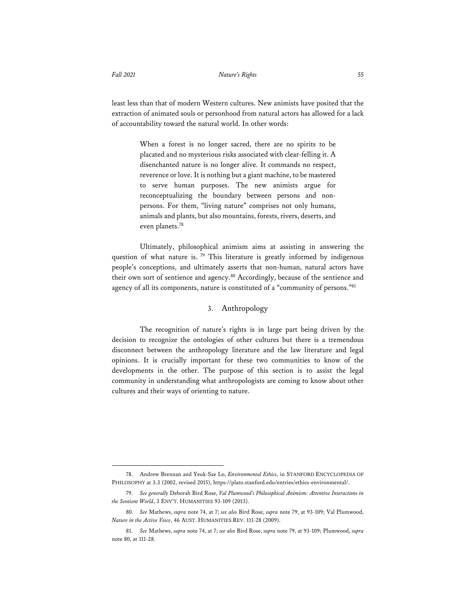least less than that of modern Western cultures. New animists have posited that the extraction of animated souls or personhood from natural actors has allowed for a lack of accountability toward the natural world. In other words:

> When a forest is no longer sacred, there are no spirits to be placated and no mysterious risks associated with clear-felling it. A disenchanted nature is no longer alive. It commands no respect, reverence or love. It is nothing but a giant machine, to be mastered to serve human purposes. The new animists argue for reconceptualizing the boundary between persons and nonpersons. For them, "living nature" comprises not only humans, animals and plants, but also mountains, forests, rivers, deserts, and even planets.78

Ultimately, philosophical animism aims at assisting in answering the question of what nature is.  $79$  This literature is greatly informed by indigenous people's conceptions, and ultimately asserts that non-human, natural actors have their own sort of sentience and agency.<sup>80</sup> Accordingly, because of the sentience and agency of all its components, nature is constituted of a "community of persons."81

#### 3. Anthropology

The recognition of nature's rights is in large part being driven by the decision to recognize the ontologies of other cultures but there is a tremendous disconnect between the anthropology literature and the law literature and legal opinions. It is crucially important for these two communities to know of the developments in the other. The purpose of this section is to assist the legal community in understanding what anthropologists are coming to know about other cultures and their ways of orienting to nature.

<sup>78.</sup> Andrew Brennan and Yeuk-Sze Lo, *Environmental Ethics,* in STANFORD ENCYCLOPEDIA OF PHILOSOPHY at 3.3 (2002, revised 2015), https://plato.stanford.edu/entries/ethics-environmental/.

<sup>79.</sup> *See generally* Deborah Bird Rose, *Val Plumwood's Philosophical Animism: Attentive Interactions in the Sentient World*, 3 ENV'T. HUMANITIES 93-109 (2013).

<sup>80.</sup> *See* Mathews, *supra* note 74, at 7; *see also* Bird Rose, *supra* note 79, at 93-109; Val Plumwood, *Nature in the Active Voice*, 46 AUST. HUMANITIES REV. 111-28 (2009).

<sup>81.</sup> *See* Mathews, *supra* note 74, at 7; *see also* Bird Rose, *supra* note 79, at 93-109; Plumwood, *supra* note 80, at 111-28.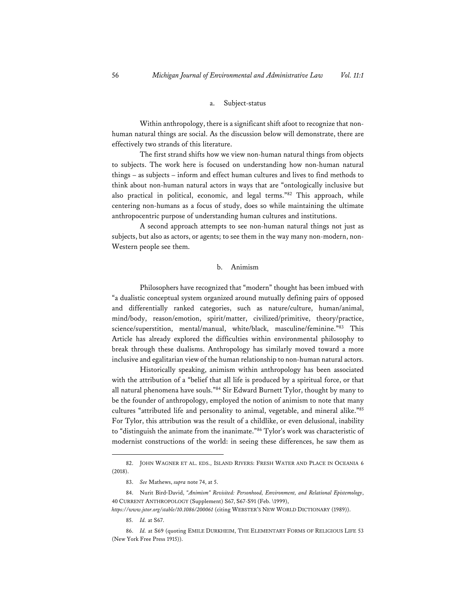#### a. Subject-status

Within anthropology, there is a significant shift afoot to recognize that nonhuman natural things are social. As the discussion below will demonstrate, there are effectively two strands of this literature.

The first strand shifts how we view non-human natural things from objects to subjects. The work here is focused on understanding how non-human natural things – as subjects – inform and effect human cultures and lives to find methods to think about non-human natural actors in ways that are "ontologically inclusive but also practical in political, economic, and legal terms."82 This approach, while centering non-humans as a focus of study, does so while maintaining the ultimate anthropocentric purpose of understanding human cultures and institutions.

A second approach attempts to see non-human natural things not just as subjects, but also as actors, or agents; to see them in the way many non-modern, non-Western people see them.

#### b. Animism

Philosophers have recognized that "modern" thought has been imbued with "a dualistic conceptual system organized around mutually defining pairs of opposed and differentially ranked categories, such as nature/culture, human/animal, mind/body, reason/emotion, spirit/matter, civilized/primitive, theory/practice, science/superstition, mental/manual, white/black, masculine/feminine."83 This Article has already explored the difficulties within environmental philosophy to break through these dualisms. Anthropology has similarly moved toward a more inclusive and egalitarian view of the human relationship to non-human natural actors.

Historically speaking, animism within anthropology has been associated with the attribution of a "belief that all life is produced by a spiritual force, or that all natural phenomena have souls."84 Sir Edward Burnett Tylor, thought by many to be the founder of anthropology, employed the notion of animism to note that many cultures "attributed life and personality to animal, vegetable, and mineral alike."85 For Tylor, this attribution was the result of a childlike, or even delusional, inability to "distinguish the animate from the inanimate."86 Tylor's work was characteristic of modernist constructions of the world: in seeing these differences, he saw them as

85. *Id.* at S67.

<sup>82.</sup> JOHN WAGNER ET AL. EDS., ISLAND RIVERS: FRESH WATER AND PLACE IN OCEANIA 6 (2018).

<sup>83.</sup> *See* Mathews, *supra* note 74, at 5.

<sup>84.</sup> Nurit Bird-David, "Animism" Revisited: Personhood, Environment, and Relational Epistemology, 40 CURRENT ANTHROPOLOGY (Supplement) S67, S67-S91 (Feb. \1999),

*https://www.jstor.org/stable/10.1086/200061* (citing WEBSTER'S NEW WORLD DICTIONARY (1989)).

<sup>86.</sup> *Id.* at S69 (quoting EMILE DURKHEIM, THE ELEMENTARY FORMS OF RELIGIOUS LIFE 53 (New York Free Press 1915)).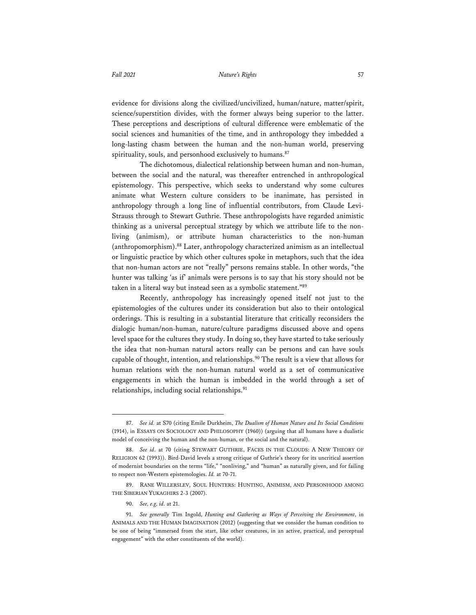evidence for divisions along the civilized/uncivilized, human/nature, matter/spirit, science/superstition divides, with the former always being superior to the latter. These perceptions and descriptions of cultural difference were emblematic of the social sciences and humanities of the time, and in anthropology they imbedded a long-lasting chasm between the human and the non-human world, preserving spirituality, souls, and personhood exclusively to humans.<sup>87</sup>

The dichotomous, dialectical relationship between human and non-human, between the social and the natural, was thereafter entrenched in anthropological epistemology. This perspective, which seeks to understand why some cultures animate what Western culture considers to be inanimate, has persisted in anthropology through a long line of influential contributors, from Claude Levi-Strauss through to Stewart Guthrie. These anthropologists have regarded animistic thinking as a universal perceptual strategy by which we attribute life to the nonliving (animism), or attribute human characteristics to the non-human (anthropomorphism).88 Later, anthropology characterized animism as an intellectual or linguistic practice by which other cultures spoke in metaphors, such that the idea that non-human actors are not "really" persons remains stable. In other words, "the hunter was talking 'as if' animals were persons is to say that his story should not be taken in a literal way but instead seen as a symbolic statement."89

Recently, anthropology has increasingly opened itself not just to the epistemologies of the cultures under its consideration but also to their ontological orderings. This is resulting in a substantial literature that critically reconsiders the dialogic human/non-human, nature/culture paradigms discussed above and opens level space for the cultures they study. In doing so, they have started to take seriously the idea that non-human natural actors really can be persons and can have souls capable of thought, intention, and relationships.<sup>90</sup> The result is a view that allows for human relations with the non-human natural world as a set of communicative engagements in which the human is imbedded in the world through a set of relationships, including social relationships.<sup>91</sup>

<sup>87.</sup> *See id.* at S70 (citing Emile Durkheim, *The Dualism of Human Nature and Its Social Conditions* (1914), in ESSAYS ON SOCIOLOGY AND PHILOSOPHY (1960)) (arguing that all humans have a dualistic model of conceiving the human and the non-human, or the social and the natural).

<sup>88.</sup> *See id*. at 70 (citing STEWART GUTHRIE, FACES IN THE CLOUDS: A NEW THEORY OF RELIGION 62 (1993)). Bird-David levels a strong critique of Guthrie's theory for its uncritical assertion of modernist boundaries on the terms "life," "nonliving," and "human" as naturally given, and for failing to respect non-Western epistemologies. *Id.* at 70-71.

<sup>89.</sup> RANE WILLERSLEV, SOUL HUNTERS: HUNTING, ANIMISM, AND PERSONHOOD AMONG THE SIBERIAN YUKAGHIRS 2-3 (2007).

<sup>90.</sup> *See, e.g, id*. at 21.

<sup>91.</sup> *See generally* Tim Ingold, *Hunting and Gathering as Ways of Perceiving the Environment*, in ANIMALS AND THE HUMAN IMAGINATION (2012) (suggesting that we consider the human condition to be one of being "immersed from the start, like other creatures, in an active, practical, and perceptual engagement" with the other constituents of the world).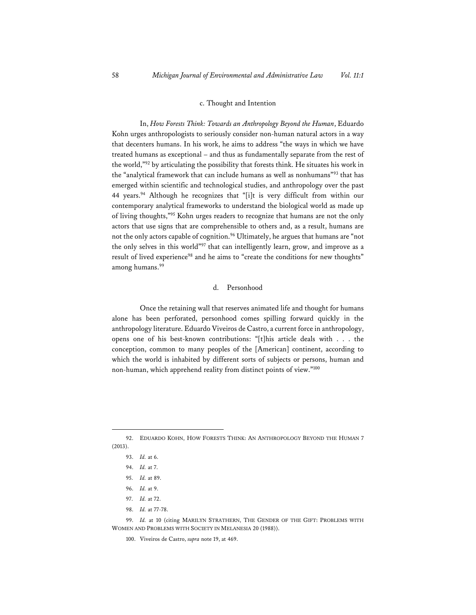#### c. Thought and Intention

In, *How Forests Think: Towards an Anthropology Beyond the Human*, Eduardo Kohn urges anthropologists to seriously consider non-human natural actors in a way that decenters humans. In his work, he aims to address "the ways in which we have treated humans as exceptional – and thus as fundamentally separate from the rest of the world,"92 by articulating the possibility that forests think. He situates his work in the "analytical framework that can include humans as well as nonhumans"93 that has emerged within scientific and technological studies, and anthropology over the past 44 years.<sup>94</sup> Although he recognizes that "[i]t is very difficult from within our contemporary analytical frameworks to understand the biological world as made up of living thoughts,"95 Kohn urges readers to recognize that humans are not the only actors that use signs that are comprehensible to others and, as a result, humans are not the only actors capable of cognition.<sup>96</sup> Ultimately, he argues that humans are "not the only selves in this world"97 that can intelligently learn, grow, and improve as a result of lived experience<sup>98</sup> and he aims to "create the conditions for new thoughts" among humans.99

### d. Personhood

Once the retaining wall that reserves animated life and thought for humans alone has been perforated, personhood comes spilling forward quickly in the anthropology literature. Eduardo Viveiros de Castro, a current force in anthropology, opens one of his best-known contributions: "[t]his article deals with . . . the conception, common to many peoples of the [American] continent, according to which the world is inhabited by different sorts of subjects or persons, human and non-human, which apprehend reality from distinct points of view."100

- 97. *Id.* at 72.
- 98. *Id.* at 77-78.

<sup>92.</sup> EDUARDO KOHN, HOW FORESTS THINK: AN ANTHROPOLOGY BEYOND THE HUMAN 7 (2013).

<sup>93.</sup> *Id.* at 6.

<sup>94.</sup> *Id.* at 7.

<sup>95.</sup> *Id.* at 89.

<sup>96.</sup> *Id.* at 9.

<sup>99.</sup> *Id.* at 10 (citing MARILYN STRATHERN, THE GENDER OF THE GIFT: PROBLEMS WITH WOMEN AND PROBLEMS WITH SOCIETY IN MELANESIA 20 (1988)).

<sup>100.</sup> Viveiros de Castro, *supra* note 19, at 469.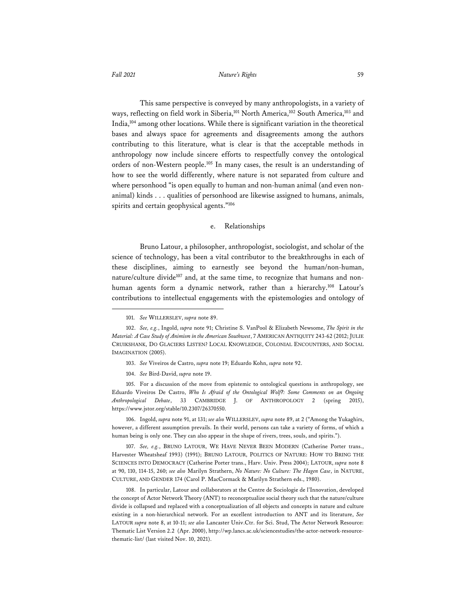This same perspective is conveyed by many anthropologists, in a variety of ways, reflecting on field work in Siberia,<sup>101</sup> North America,<sup>102</sup> South America,<sup>103</sup> and India,104 among other locations. While there is significant variation in the theoretical bases and always space for agreements and disagreements among the authors contributing to this literature, what is clear is that the acceptable methods in anthropology now include sincere efforts to respectfully convey the ontological orders of non-Western people.105 In many cases, the result is an understanding of how to see the world differently, where nature is not separated from culture and where personhood "is open equally to human and non-human animal (and even nonanimal) kinds . . . qualities of personhood are likewise assigned to humans, animals, spirits and certain geophysical agents."106

#### e. Relationships

Bruno Latour, a philosopher, anthropologist, sociologist, and scholar of the science of technology, has been a vital contributor to the breakthroughs in each of these disciplines, aiming to earnestly see beyond the human/non-human, nature/culture divide<sup>107</sup> and, at the same time, to recognize that humans and nonhuman agents form a dynamic network, rather than a hierarchy.<sup>108</sup> Latour's contributions to intellectual engagements with the epistemologies and ontology of

104. *See* Bird-David, *supra* note 19.

105. For a discussion of the move from epistemic to ontological questions in anthropology, see Eduardo Viveiros De Castro, *Who Is Afraid of the Ontological Wolf?: Some Comments on an Ongoing Anthropological Debate*, 33 CAMBRIDGE J. OF ANTHROPOLOGY 2 (spring 2015), https://www.jstor.org/stable/10.2307/26370550.

106. Ingold, *supra* note 91, at 131; *see also* WILLERSLEV, *supra* note 89, at 2 ("Among the Yukaghirs, however, a different assumption prevails. In their world, persons can take a variety of forms, of which a human being is only one. They can also appear in the shape of rivers, trees, souls, and spirits.").

107. *See, e.g.*, BRUNO LATOUR, WE HAVE NEVER BEEN MODERN (Catherine Porter trans., Harvester Wheatsheaf 1993) (1991); BRUNO LATOUR, POLITICS OF NATURE: HOW TO BRING THE SCIENCES INTO DEMOCRACY (Catherine Porter trans., Harv. Univ. Press 2004); LATOUR, *supra* note 8 at 90, 110, 114-15, 260; *see also* Marilyn Strathern, *No Nature: No Culture: The Hagen Case*, in NATURE, CULTURE, AND GENDER 174 (Carol P. MacCormack & Marilyn Strathern eds., 1980).

108. In particular, Latour and collaborators at the Centre de Sociologie de l'Innovation, developed the concept of Actor Network Theory (ANT) to reconceptualize social theory such that the nature/culture divide is collapsed and replaced with a conceptualization of all objects and concepts in nature and culture existing in a non-hierarchical network. For an excellent introduction to ANT and its literature, *See* LATOUR *supra* note 8, at 10-11; *see also* Lancaster Univ.Ctr. for Sci. Stud, The Actor Network Resource: Thematic List Version 2.2 (Apr. 2000), http://wp.lancs.ac.uk/sciencestudies/the-actor-network-resourcethematic-list/ (last visited Nov. 10, 2021).

<sup>101.</sup> *See* WILLERSLEV, *supra* note 89.

<sup>102.</sup> *See, e.g.*, Ingold, *supra* note 91; Christine S. VanPool & Elizabeth Newsome, *The Spirit in the Material: A Case Study of Animism in the American Southwest*, 7 AMERICAN ANTIQUITY 243-62 (2012; JULIE CRUIKSHANK, DO GLACIERS LISTEN? LOCAL KNOWLEDGE, COLONIAL ENCOUNTERS, AND SOCIAL IMAGINATION (2005).

<sup>103.</sup> *See* Viveiros de Castro, *supra* note 19; Eduardo Kohn, *supra* note 92.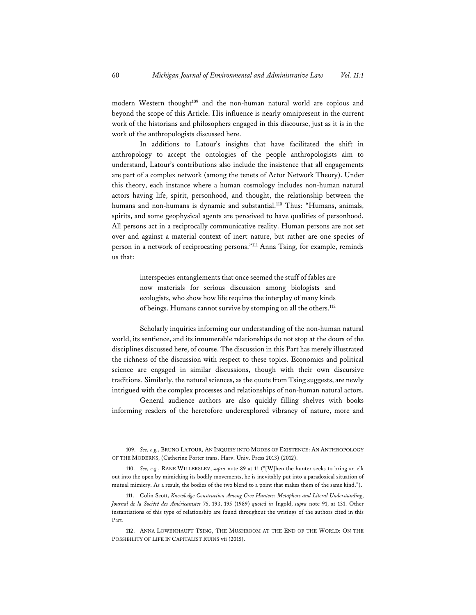modern Western thought<sup>109</sup> and the non-human natural world are copious and beyond the scope of this Article. His influence is nearly omnipresent in the current work of the historians and philosophers engaged in this discourse, just as it is in the work of the anthropologists discussed here.

In additions to Latour's insights that have facilitated the shift in anthropology to accept the ontologies of the people anthropologists aim to understand, Latour's contributions also include the insistence that all engagements are part of a complex network (among the tenets of Actor Network Theory). Under this theory, each instance where a human cosmology includes non-human natural actors having life, spirit, personhood, and thought, the relationship between the humans and non-humans is dynamic and substantial.<sup>110</sup> Thus: "Humans, animals, spirits, and some geophysical agents are perceived to have qualities of personhood. All persons act in a reciprocally communicative reality. Human persons are not set over and against a material context of inert nature, but rather are one species of person in a network of reciprocating persons."111 Anna Tsing, for example, reminds us that:

> interspecies entanglements that once seemed the stuff of fables are now materials for serious discussion among biologists and ecologists, who show how life requires the interplay of many kinds of beings. Humans cannot survive by stomping on all the others.<sup>112</sup>

Scholarly inquiries informing our understanding of the non-human natural world, its sentience, and its innumerable relationships do not stop at the doors of the disciplines discussed here, of course. The discussion in this Part has merely illustrated the richness of the discussion with respect to these topics. Economics and political science are engaged in similar discussions, though with their own discursive traditions. Similarly, the natural sciences, as the quote from Tsing suggests, are newly intrigued with the complex processes and relationships of non-human natural actors.

General audience authors are also quickly filling shelves with books informing readers of the heretofore underexplored vibrancy of nature, more and

<sup>109.</sup> *See, e.g.*, BRUNO LATOUR, AN INQUIRY INTO MODES OF EXISTENCE: AN ANTHROPOLOGY OF THE MODERNS, (Catherine Porter trans. Harv. Univ. Press 2013) (2012).

<sup>110.</sup> *See, e.g.*, RANE WILLERSLEV, *supra* note 89 at 11 ("[W]hen the hunter seeks to bring an elk out into the open by mimicking its bodily movements, he is inevitably put into a paradoxical situation of mutual mimicry. As a result, the bodies of the two blend to a point that makes them of the same kind.").

<sup>111.</sup> Colin Scott, *Knowledge Construction Among Cree Hunters: Metaphors and Literal Understanding*, *Journal de la Société des Américanistes* 75, 193, 195 (1989) *quoted in* Ingold, *supra* note 91, at 131. Other instantiations of this type of relationship are found throughout the writings of the authors cited in this Part.

<sup>112.</sup> ANNA LOWENHAUPT TSING, THE MUSHROOM AT THE END OF THE WORLD: ON THE POSSIBILITY OF LIFE IN CAPITALIST RUINS vii (2015).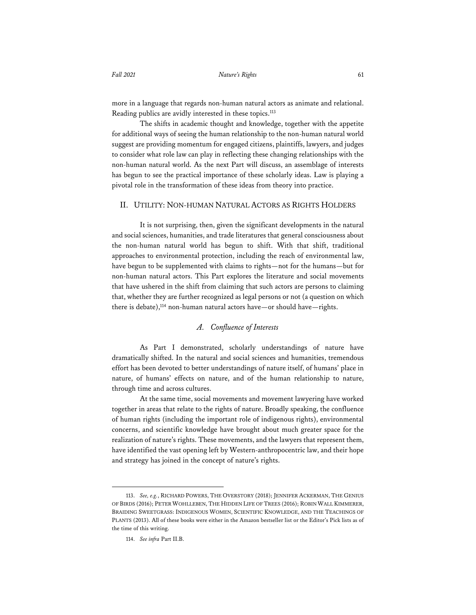more in a language that regards non-human natural actors as animate and relational. Reading publics are avidly interested in these topics.113

The shifts in academic thought and knowledge, together with the appetite for additional ways of seeing the human relationship to the non-human natural world suggest are providing momentum for engaged citizens, plaintiffs, lawyers, and judges to consider what role law can play in reflecting these changing relationships with the non-human natural world. As the next Part will discuss, an assemblage of interests has begun to see the practical importance of these scholarly ideas. Law is playing a pivotal role in the transformation of these ideas from theory into practice.

#### II. UTILITY: NON-HUMAN NATURAL ACTORS AS RIGHTS HOLDERS

It is not surprising, then, given the significant developments in the natural and social sciences, humanities, and trade literatures that general consciousness about the non-human natural world has begun to shift. With that shift, traditional approaches to environmental protection, including the reach of environmental law, have begun to be supplemented with claims to rights—not for the humans—but for non-human natural actors. This Part explores the literature and social movements that have ushered in the shift from claiming that such actors are persons to claiming that, whether they are further recognized as legal persons or not (a question on which there is debate),<sup>114</sup> non-human natural actors have—or should have—rights.

# *A. Confluence of Interests*

As Part I demonstrated, scholarly understandings of nature have dramatically shifted. In the natural and social sciences and humanities, tremendous effort has been devoted to better understandings of nature itself, of humans' place in nature, of humans' effects on nature, and of the human relationship to nature, through time and across cultures.

At the same time, social movements and movement lawyering have worked together in areas that relate to the rights of nature. Broadly speaking, the confluence of human rights (including the important role of indigenous rights), environmental concerns, and scientific knowledge have brought about much greater space for the realization of nature's rights. These movements, and the lawyers that represent them, have identified the vast opening left by Western-anthropocentric law, and their hope and strategy has joined in the concept of nature's rights.

<sup>113.</sup> *See, e.g.*, RICHARD POWERS, THE OVERSTORY (2018); JENNIFER ACKERMAN, THE GENIUS OF BIRDS (2016); PETER WOHLLEBEN, THE HIDDEN LIFE OF TREES (2016); ROBIN WALL KIMMERER, BRAIDING SWEETGRASS: INDIGENOUS WOMEN, SCIENTIFIC KNOWLEDGE, AND THE TEACHINGS OF PLANTS (2013). All of these books were either in the Amazon bestseller list or the Editor's Pick lists as of the time of this writing.

<sup>114.</sup> *See infra* Part II.B.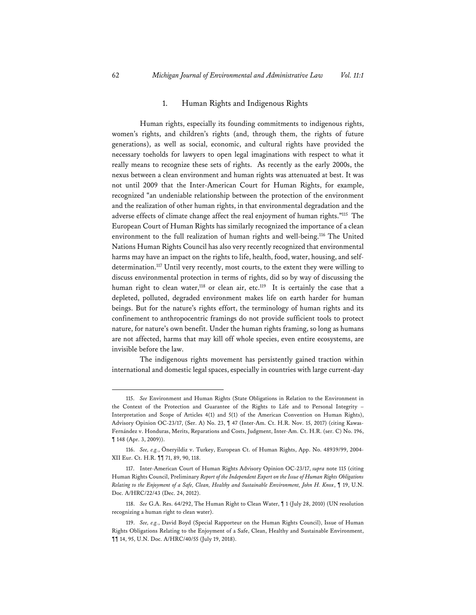#### 1. Human Rights and Indigenous Rights

Human rights, especially its founding commitments to indigenous rights, women's rights, and children's rights (and, through them, the rights of future generations), as well as social, economic, and cultural rights have provided the necessary toeholds for lawyers to open legal imaginations with respect to what it really means to recognize these sets of rights. As recently as the early 2000s, the nexus between a clean environment and human rights was attenuated at best. It was not until 2009 that the Inter-American Court for Human Rights, for example, recognized "an undeniable relationship between the protection of the environment and the realization of other human rights, in that environmental degradation and the adverse effects of climate change affect the real enjoyment of human rights."115 The European Court of Human Rights has similarly recognized the importance of a clean environment to the full realization of human rights and well-being.116 The United Nations Human Rights Council has also very recently recognized that environmental harms may have an impact on the rights to life, health, food, water, housing, and selfdetermination.<sup>117</sup> Until very recently, most courts, to the extent they were willing to discuss environmental protection in terms of rights, did so by way of discussing the human right to clean water,<sup>118</sup> or clean air, etc.<sup>119</sup> It is certainly the case that a depleted, polluted, degraded environment makes life on earth harder for human beings. But for the nature's rights effort, the terminology of human rights and its confinement to anthropocentric framings do not provide sufficient tools to protect nature, for nature's own benefit. Under the human rights framing, so long as humans are not affected, harms that may kill off whole species, even entire ecosystems, are invisible before the law.

The indigenous rights movement has persistently gained traction within international and domestic legal spaces, especially in countries with large current-day

<sup>115.</sup> *See* Environment and Human Rights (State Obligations in Relation to the Environment in the Context of the Protection and Guarantee of the Rights to Life and to Personal Integrity – Interpretation and Scope of Articles 4(1) and 5(1) of the American Convention on Human Rights), Advisory Opinion OC-23/17, (Ser. A) No. 23, ¶ 47 (Inter-Am. Ct. H.R. Nov. 15, 2017) (citing Kawas-Fernández v. Honduras, Merits, Reparations and Costs, Judgment, Inter-Am. Ct. H.R. (ser. C) No. 196, ¶ 148 (Apr. 3, 2009)).

<sup>116.</sup> *See, e.g.*, Öneryildiz v. Turkey, European Ct. of Human Rights, App. No. 48939/99, 2004- XII Eur. Ct. H.R. ¶¶ 71, 89, 90, 118.

<sup>117.</sup> Inter-American Court of Human Rights Advisory Opinion OC-23/17, *supra* note 115 (citing Human Rights Council, Preliminary *Report of the Independent Expert on the Issue of Human Rights Obligations Relating to the Enjoyment of a Safe, Clean, Healthy and Sustainable Environment, John H. Knox*, ¶ 19, U.N. Doc. A/HRC/22/43 (Dec. 24, 2012).

<sup>118.</sup> *See* G.A. Res. 64/292, The Human Right to Clean Water, ¶ 1 (July 28, 2010) (UN resolution recognizing a human right to clean water).

<sup>119.</sup> *See, e.g.*, David Boyd (Special Rapporteur on the Human Rights Council), Issue of Human Rights Obligations Relating to the Enjoyment of a Safe, Clean, Healthy and Sustainable Environment, ¶¶ 14, 95, U.N. Doc. A/HRC/40/55 (July 19, 2018).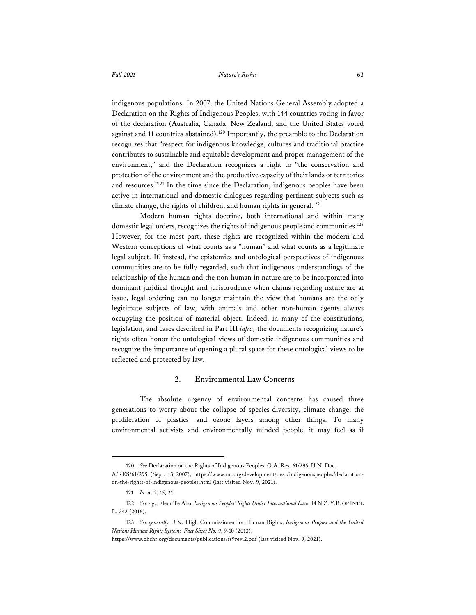indigenous populations. In 2007, the United Nations General Assembly adopted a Declaration on the Rights of Indigenous Peoples, with 144 countries voting in favor of the declaration (Australia, Canada, New Zealand, and the United States voted against and 11 countries abstained).120 Importantly, the preamble to the Declaration recognizes that "respect for indigenous knowledge, cultures and traditional practice contributes to sustainable and equitable development and proper management of the environment," and the Declaration recognizes a right to "the conservation and protection of the environment and the productive capacity of their lands or territories and resources."121 In the time since the Declaration, indigenous peoples have been active in international and domestic dialogues regarding pertinent subjects such as climate change, the rights of children, and human rights in general.<sup>122</sup>

Modern human rights doctrine, both international and within many domestic legal orders, recognizes the rights of indigenous people and communities.<sup>123</sup> However, for the most part, these rights are recognized within the modern and Western conceptions of what counts as a "human" and what counts as a legitimate legal subject. If, instead, the epistemics and ontological perspectives of indigenous communities are to be fully regarded, such that indigenous understandings of the relationship of the human and the non-human in nature are to be incorporated into dominant juridical thought and jurisprudence when claims regarding nature are at issue, legal ordering can no longer maintain the view that humans are the only legitimate subjects of law, with animals and other non-human agents always occupying the position of material object. Indeed, in many of the constitutions, legislation, and cases described in Part III *infra,* the documents recognizing nature's rights often honor the ontological views of domestic indigenous communities and recognize the importance of opening a plural space for these ontological views to be reflected and protected by law.

# 2. Environmental Law Concerns

The absolute urgency of environmental concerns has caused three generations to worry about the collapse of species-diversity, climate change, the proliferation of plastics, and ozone layers among other things. To many environmental activists and environmentally minded people, it may feel as if

<sup>120.</sup> *See* Declaration on the Rights of Indigenous Peoples, G.A. Res. 61/295, U.N. Doc. A/RES/61/295 (Sept. 13, 2007), https://www.un.org/development/desa/indigenouspeoples/declarationon-the-rights-of-indigenous-peoples.html (last visited Nov. 9, 2021).

<sup>121.</sup> *Id.* at 2, 15, 21.

<sup>122.</sup> *See e.g*., Fleur Te Aho, *Indigenous Peoples' Rights Under International Law*, 14 N.Z. Y.B. OF INT'L L. 242 (2016).

<sup>123.</sup> *See generally* U.N. High Commissioner for Human Rights, *Indigenous Peoples and the United Nations Human Rights System:Fact Sheet No. 9*, 9-10 (2013),

https://www.ohchr.org/documents/publications/fs9rev.2.pdf (last visited Nov. 9, 2021).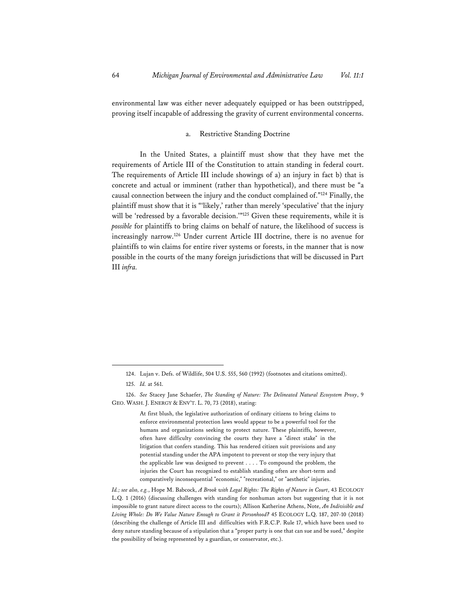environmental law was either never adequately equipped or has been outstripped, proving itself incapable of addressing the gravity of current environmental concerns.

# a. Restrictive Standing Doctrine

In the United States, a plaintiff must show that they have met the requirements of Article III of the Constitution to attain standing in federal court. The requirements of Article III include showings of a) an injury in fact b) that is concrete and actual or imminent (rather than hypothetical), and there must be "a causal connection between the injury and the conduct complained of."124 Finally, the plaintiff must show that it is "'likely,' rather than merely 'speculative' that the injury will be 'redressed by a favorable decision.'"<sup>125</sup> Given these requirements, while it is *possible* for plaintiffs to bring claims on behalf of nature, the likelihood of success is increasingly narrow.126 Under current Article III doctrine, there is no avenue for plaintiffs to win claims for entire river systems or forests, in the manner that is now possible in the courts of the many foreign jurisdictions that will be discussed in Part III *infra.* 

<sup>124.</sup> Lujan v. Defs. of Wildlife, 504 U.S. 555, 560 (1992) (footnotes and citations omitted).

<sup>125.</sup> *Id.* at 561.

<sup>126.</sup> *See* Stacey Jane Schaefer, *The Standing of Nature: The Delineated Natural Ecosystem Proxy*, 9 GEO. WASH. J. ENERGY & ENV'T. L. 70, 73 (2018), stating:

At first blush, the legislative authorization of ordinary citizens to bring claims to enforce environmental protection laws would appear to be a powerful tool for the humans and organizations seeking to protect nature. These plaintiffs, however, often have difficulty convincing the courts they have a "direct stake" in the litigation that confers standing. This has rendered citizen suit provisions and any potential standing under the APA impotent to prevent or stop the very injury that the applicable law was designed to prevent . . . . To compound the problem, the injuries the Court has recognized to establish standing often are short-term and comparatively inconsequential "economic," "recreational," or "aesthetic" injuries.

*Id.; see also, e.g.*, Hope M. Babcock, *A Brook with Legal Rights: The Rights of Nature in Court*, 43 ECOLOGY L.Q. 1 (2016) (discussing challenges with standing for nonhuman actors but suggesting that it is not impossible to grant nature direct access to the courts); Allison Katherine Athens, Note, *An Indivisible and Living Whole: Do We Value Nature Enough to Grant it Personhood?* 45 ECOLOGY L.Q. 187, 207-10 (2018) (describing the challenge of Article III and difficulties with F.R.C.P. Rule 17, which have been used to deny nature standing because of a stipulation that a "proper party is one that can sue and be sued," despite the possibility of being represented by a guardian, or conservator, etc.).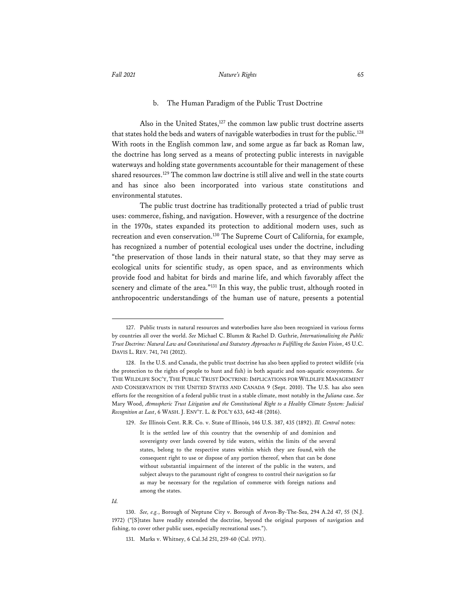#### *Fall 2021 Nature's Rights* 65

#### b. The Human Paradigm of the Public Trust Doctrine

Also in the United States,<sup>127</sup> the common law public trust doctrine asserts that states hold the beds and waters of navigable waterbodies in trust for the public.<sup>128</sup> With roots in the English common law, and some argue as far back as Roman law, the doctrine has long served as a means of protecting public interests in navigable waterways and holding state governments accountable for their management of these shared resources.129 The common law doctrine is still alive and well in the state courts and has since also been incorporated into various state constitutions and environmental statutes.

The public trust doctrine has traditionally protected a triad of public trust uses: commerce, fishing, and navigation. However, with a resurgence of the doctrine in the 1970s, states expanded its protection to additional modern uses, such as recreation and even conservation.130 The Supreme Court of California, for example, has recognized a number of potential ecological uses under the doctrine, including "the preservation of those lands in their natural state, so that they may serve as ecological units for scientific study, as open space, and as environments which provide food and habitat for birds and marine life, and which favorably affect the scenery and climate of the area."131 In this way, the public trust, although rooted in anthropocentric understandings of the human use of nature, presents a potential

<sup>127.</sup> Public trusts in natural resources and waterbodies have also been recognized in various forms by countries all over the world. *See* Michael C. Blumm & Rachel D. Guthrie, *Internationalizing the Public Trust Doctrine: Natural Law and Constitutional and Statutory Approaches to Fulfilling the Saxion Vision*, 45 U.C. DAVIS L. REV. 741, 741 (2012).

<sup>128.</sup> In the U.S. and Canada, the public trust doctrine has also been applied to protect wildlife (via the protection to the rights of people to hunt and fish) in both aquatic and non-aquatic ecosystems. *See* THE WILDLIFE SOC'Y, THE PUBLIC TRUST DOCTRINE: IMPLICATIONS FOR WILDLIFE MANAGEMENT AND CONSERVATION IN THE UNITED STATES AND CANADA 9 (Sept. 2010). The U.S. has also seen efforts for the recognition of a federal public trust in a stable climate, most notably in the *Juliana* case. *See* Mary Wood, *Atmospheric Trust Litigation and the Constitutional Right to a Healthy Climate System: Judicial Recognition at Last*, 6 WASH. J. ENV'T. L. & POL'Y 633, 642-48 (2016).

<sup>129.</sup> *See* Illinois Cent. R.R. Co. v. State of Illinois, 146 U.S. 387, 435 (1892). *Ill. Central* notes:

It is the settled law of this country that the ownership of and dominion and sovereignty over lands covered by tide waters, within the limits of the several states, belong to the respective states within which they are found, with the consequent right to use or dispose of any portion thereof, when that can be done without substantial impairment of the interest of the public in the waters, and subject always to the paramount right of congress to control their navigation so far as may be necessary for the regulation of commerce with foreign nations and among the states.

*Id.* 

<sup>130.</sup> *See, e.g.*, Borough of Neptune City v. Borough of Avon-By-The-Sea, 294 A.2d 47, 55 (N.J. 1972) ("[S]tates have readily extended the doctrine, beyond the original purposes of navigation and fishing, to cover other public uses, especially recreational uses.").

<sup>131.</sup> Marks v. Whitney, 6 Cal.3d 251, 259-60 (Cal. 1971).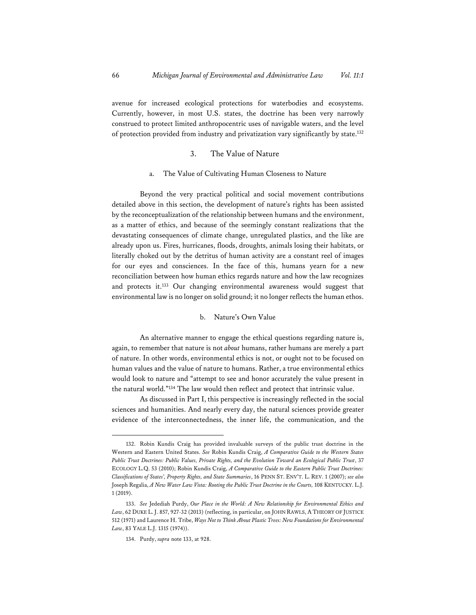avenue for increased ecological protections for waterbodies and ecosystems. Currently, however, in most U.S. states, the doctrine has been very narrowly construed to protect limited anthropocentric uses of navigable waters, and the level of protection provided from industry and privatization vary significantly by state.132

#### 3. The Value of Nature

#### a. The Value of Cultivating Human Closeness to Nature

Beyond the very practical political and social movement contributions detailed above in this section, the development of nature's rights has been assisted by the reconceptualization of the relationship between humans and the environment, as a matter of ethics, and because of the seemingly constant realizations that the devastating consequences of climate change, unregulated plastics, and the like are already upon us. Fires, hurricanes, floods, droughts, animals losing their habitats, or literally choked out by the detritus of human activity are a constant reel of images for our eyes and consciences. In the face of this, humans yearn for a new reconciliation between how human ethics regards nature and how the law recognizes and protects it.133 Our changing environmental awareness would suggest that environmental law is no longer on solid ground; it no longer reflects the human ethos.

#### b. Nature's Own Value

An alternative manner to engage the ethical questions regarding nature is, again, to remember that nature is not *about* humans, rather humans are merely a part of nature. In other words, environmental ethics is not, or ought not to be focused on human values and the value of nature to humans. Rather, a true environmental ethics would look to nature and "attempt to see and honor accurately the value present in the natural world."134 The law would then reflect and protect that intrinsic value.

As discussed in Part I, this perspective is increasingly reflected in the social sciences and humanities. And nearly every day, the natural sciences provide greater evidence of the interconnectedness, the inner life, the communication, and the

<sup>132.</sup> Robin Kundis Craig has provided invaluable surveys of the public trust doctrine in the Western and Eastern United States. *See* Robin Kundis Craig, *A Comparative Guide to the Western States Public Trust Doctrines: Public Values, Private Rights, and the Evolution Toward an Ecological Public Trust*, 37 ECOLOGY L.Q. 53 (2010); Robin Kundis Craig, *A Comparative Guide to the Eastern Public Trust Doctrines: Classifications of States', Property Rights, and State Summaries*, 16 PENN ST. ENV'T. L. REV. 1 (2007); *see also* Joseph Regalia, *A New Water Law Vista: Rooting the Public Trust Doctrine in the Courts,* 108 KENTUCKY. L.J. 1 (2019).

<sup>133.</sup> *See* Jedediah Purdy, *Our Place in the World: A New Relationship for Environmental Ethics and Law*, 62 DUKE L. J. 857, 927-32 (2013) (reflecting, in particular, on JOHN RAWLS, A THEORY OF JUSTICE 512 (1971) and Laurence H. Tribe, *Ways Not to Think About Plastic Trees: New Foundations for Environmental Law*, 83 YALE L.J. 1315 (1974)).

<sup>134.</sup> Purdy, *supra* note 133, at 928.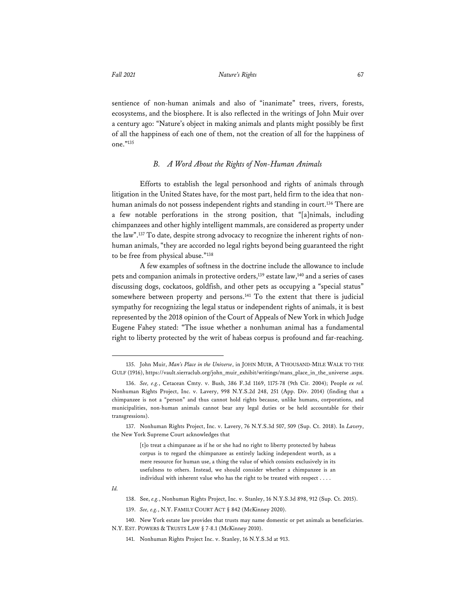sentience of non-human animals and also of "inanimate" trees, rivers, forests, ecosystems, and the biosphere. It is also reflected in the writings of John Muir over a century ago: "Nature's object in making animals and plants might possibly be first of all the happiness of each one of them, not the creation of all for the happiness of one."135

#### *B. A Word About the Rights of Non-Human Animals*

Efforts to establish the legal personhood and rights of animals through litigation in the United States have, for the most part, held firm to the idea that nonhuman animals do not possess independent rights and standing in court.<sup>136</sup> There are a few notable perforations in the strong position, that "[a]nimals, including chimpanzees and other highly intelligent mammals, are considered as property under the law".137 To date, despite strong advocacy to recognize the inherent rights of nonhuman animals, "they are accorded no legal rights beyond being guaranteed the right to be free from physical abuse."138

A few examples of softness in the doctrine include the allowance to include pets and companion animals in protective orders,<sup>139</sup> estate law,<sup>140</sup> and a series of cases discussing dogs, cockatoos, goldfish, and other pets as occupying a "special status" somewhere between property and persons.<sup>141</sup> To the extent that there is judicial sympathy for recognizing the legal status or independent rights of animals, it is best represented by the 2018 opinion of the Court of Appeals of New York in which Judge Eugene Fahey stated: "The issue whether a nonhuman animal has a fundamental right to liberty protected by the writ of habeas corpus is profound and far-reaching.

<sup>135.</sup> John Muir, *Man's Place in the Universe*, in JOHN MUIR, A THOUSAND-MILE WALK TO THE GULF (1916), https://vault.sierraclub.org/john\_muir\_exhibit/writings/mans\_place\_in\_the\_universe .aspx.

<sup>136.</sup> *See, e.g.*, Cetacean Cmty. v. Bush, 386 F.3d 1169, 1175-78 (9th Cir. 2004); People *ex rel.* Nonhuman Rights Project, Inc. v. Lavery, 998 N.Y.S.2d 248, 251 (App. Div. 2014) (finding that a chimpanzee is not a "person" and thus cannot hold rights because, unlike humans, corporations, and municipalities, non-human animals cannot bear any legal duties or be held accountable for their transgressions).

<sup>137.</sup> Nonhuman Rights Project, Inc. v. Lavery, 76 N.Y.S.3d 507, 509 (Sup. Ct. 2018). In *Lavery*, the New York Supreme Court acknowledges that

<sup>[</sup>t]o treat a chimpanzee as if he or she had no right to liberty protected by habeas corpus is to regard the chimpanzee as entirely lacking independent worth, as a mere resource for human use, a thing the value of which consists exclusively in its usefulness to others. Instead, we should consider whether a chimpanzee is an individual with inherent value who has the right to be treated with respect . . . .

*Id.* 

<sup>138.</sup> See, *e.g.*, Nonhuman Rights Project, Inc. v. Stanley, 16 N.Y.S.3d 898, 912 (Sup. Ct. 2015).

<sup>139.</sup> *See, e.g.*, N.Y. FAMILY COURT ACT § 842 (McKinney 2020).

<sup>140.</sup> New York estate law provides that trusts may name domestic or pet animals as beneficiaries. N.Y. EST. POWERS & TRUSTS LAW § 7-8.1 (McKinney 2010).

<sup>141.</sup> Nonhuman Rights Project Inc. v. Stanley, 16 N.Y.S.3d at 913.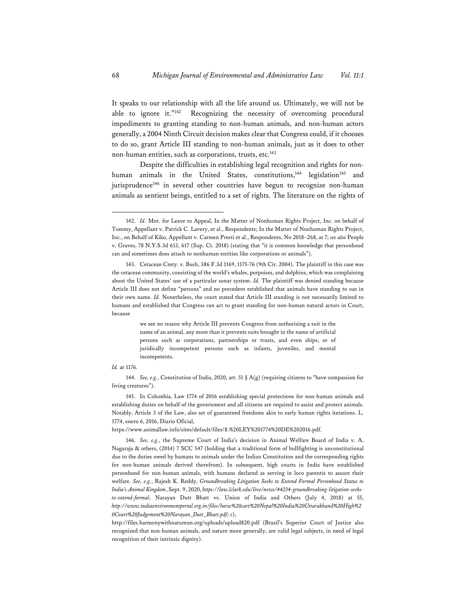It speaks to our relationship with all the life around us. Ultimately, we will not be able to ignore it."142 Recognizing the necessity of overcoming procedural impediments to granting standing to non-human animals, and non-human actors generally, a 2004 Ninth Circuit decision makes clear that Congress could, if it chooses to do so, grant Article III standing to non-human animals, just as it does to other non-human entities, such as corporations, trusts, etc.143

Despite the difficulties in establishing legal recognition and rights for nonhuman animals in the United States, constitutions,<sup>144</sup> legislation<sup>145</sup> and jurisprudence<sup>146</sup> in several other countries have begun to recognize non-human animals as sentient beings, entitled to a set of rights. The literature on the rights of

we see no reason why Article III prevents Congress from authorizing a suit in the name of an animal, any more than it prevents suits brought in the name of artificial persons such as corporations, partnerships or trusts, and even ships, or of juridically incompetent persons such as infants, juveniles, and mental incompetents.

#### *Id.* at 1176.

145. In Colombia, Law 1774 of 2016 establishing special protections for non-human animals and establishing duties on behalf of the government and all citizens are required to assist and protect animals. Notably, Article 3 of the Law, also set of guaranteed freedoms akin to early human rights iterations. L. 1774, enero 6, 2016, Diario Oficial,

https://www.animallaw.info/sites/default/files/8.%20LEY%201774%20DE%202016.pdf.

146. *See, e.g.*, the Supreme Court of India's decision in Animal Welfare Board of India v. A. Nagaraja & others, (2014) 7 SCC 547 (holding that a traditional form of bullfighting is unconstitutional due to the duties owed by humans to animals under the Indian Constitution and the corresponding rights for non-human animals derived therefrom). In subsequent, high courts in India have established personhood for non-human animals, with humans declared as serving in loco parentis to assure their welfare. *See, e.g.*, Rajesh K. Reddy, *Groundbreaking Litigation Seeks to Extend Formal Personhood Status to India's Animal Kingdom*, Sept. 9, 2020, *https://law.lclark.edu/live/news/44234-groundbreaking-litigation-seeksto-extend-formal*; Narayan Dutt Bhatt vs. Union of India and Others (July 4, 2018) at 55, *http://www.indiaenvironmentportal.org.in/files/horse%20cart%20Nepal%20India%20Uttarakhand%20High%2 0Court%20Judgement%20Narayan\_Dutt\_Bhatt.pdf*; c),

http://files.harmonywithnatureun.org/uploads/upload820.pdf (Brazil's Superior Court of Justice also recognized that non-human animals, and nature more generally, are valid legal subjects, in need of legal recognition of their intrinsic dignity).

<sup>142.</sup> *Id*. Mot. for Leave to Appeal, In the Matter of Nonhuman Rights Project, Inc. on behalf of Tommy, Appellant v. Patrick C. Lavery, et al., Respondents; In the Matter of Nonhuman Rights Project, Inc., on Behalf of Kiko, Appellant v. Carmen Presti et al., Respondents, No 2018–268, at 7; *see also* People v. Graves, 78 N.Y.S.3d 613, 617 (Sup. Ct. 2018) (stating that "it is common knowledge that personhood can and sometimes does attach to nonhuman entities like corporations or animals").

<sup>143.</sup> Cetacean Cmty. v. Bush, 386 F.3d 1169, 1175-76 (9th Cir. 2004). The plaintiff in this case was the cetacean community, consisting of the world's whales, porpoises, and dolphins, which was complaining about the United States' use of a particular sonar system. *Id.* The plaintiff was denied standing because Article III does not define "persons" and no precedent established that animals have standing to sue in their own name. *Id.* Nonetheless, the court stated that Article III standing is not necessarily limited to humans and established that Congress can act to grant standing for non-human natural actors in Court, because

<sup>144.</sup> *See, e.g.*, Constitution of India, 2020, art. 51 § A(g) (requiring citizens to "have compassion for living creatures").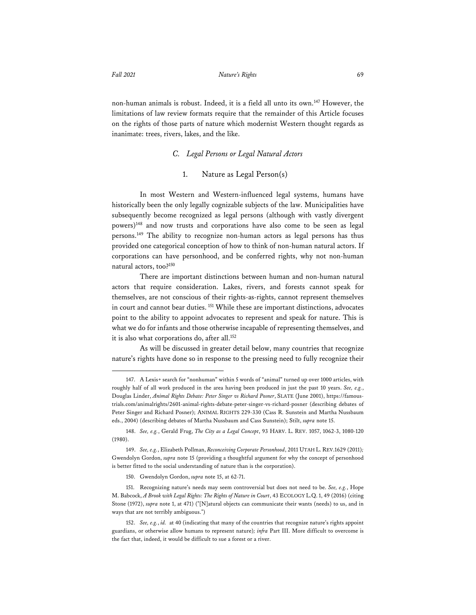non-human animals is robust. Indeed, it is a field all unto its own.147 However, the limitations of law review formats require that the remainder of this Article focuses on the rights of those parts of nature which modernist Western thought regards as inanimate: trees, rivers, lakes, and the like.

#### *C. Legal Persons or Legal Natural Actors*

# 1. Nature as Legal Person(s)

In most Western and Western-influenced legal systems, humans have historically been the only legally cognizable subjects of the law. Municipalities have subsequently become recognized as legal persons (although with vastly divergent powers)148 and now trusts and corporations have also come to be seen as legal persons.149 The ability to recognize non-human actors as legal persons has thus provided one categorical conception of how to think of non-human natural actors. If corporations can have personhood, and be conferred rights, why not non-human natural actors, too?150

There are important distinctions between human and non-human natural actors that require consideration. Lakes, rivers, and forests cannot speak for themselves, are not conscious of their rights-as-rights, cannot represent themselves in court and cannot bear duties. 151 While these are important distinctions, advocates point to the ability to appoint advocates to represent and speak for nature. This is what we do for infants and those otherwise incapable of representing themselves, and it is also what corporations do, after all.<sup>152</sup>

As will be discussed in greater detail below, many countries that recognize nature's rights have done so in response to the pressing need to fully recognize their

<sup>147.</sup> A Lexis+ search for "nonhuman" within 5 words of "animal" turned up over 1000 articles, with roughly half of all work produced in the area having been produced in just the past 10 years. *See, e.g.*, Douglas Linder, *Animal Rights Debate: Peter Singer vs Richard Posner*, SLATE (June 2001), https://famoustrials.com/animalrights/2601-animal-rights-debate-peter-singer-vs-richard-posner (describing debates of Peter Singer and Richard Posner); ANIMAL RIGHTS 229-330 (Cass R. Sunstein and Martha Nussbaum eds., 2004) (describing debates of Martha Nussbaum and Cass Sunstein); Stilt, *supra* note 15.

<sup>148.</sup> *See, e.g.*, Gerald Frug, *The City as a Legal Concept*, 93 HARV. L. REV. 1057, 1062-3, 1080-120 (1980).

<sup>149.</sup> *See, e.g.*, Elizabeth Pollman, *Reconceiving Corporate Personhood*, 2011 UTAH L. REV.1629 (2011)*;*  Gwendolyn Gordon, *supra* note 15 (providing a thoughtful argument for why the concept of personhood is better fitted to the social understanding of nature than is the corporation).

<sup>150.</sup> Gwendolyn Gordon, *supra* note 15, at 62-71.

<sup>151.</sup> Recognizing nature's needs may seem controversial but does not need to be. *See, e.g.*, Hope M. Babcock, *A Brook with Legal Rights: The Rights of Nature in Court*, 43 ECOLOGY L.Q.1, 49 (2016) (citing Stone (1972), *supra* note 1, at 471) ("[N]atural objects can communicate their wants (needs) to us, and in ways that are not terribly ambiguous.")

<sup>152.</sup> *See, e.g.*, *id.* at 40 (indicating that many of the countries that recognize nature's rights appoint guardians, or otherwise allow humans to represent nature)*; infra* Part III. More difficult to overcome is the fact that, indeed, it would be difficult to sue a forest or a river.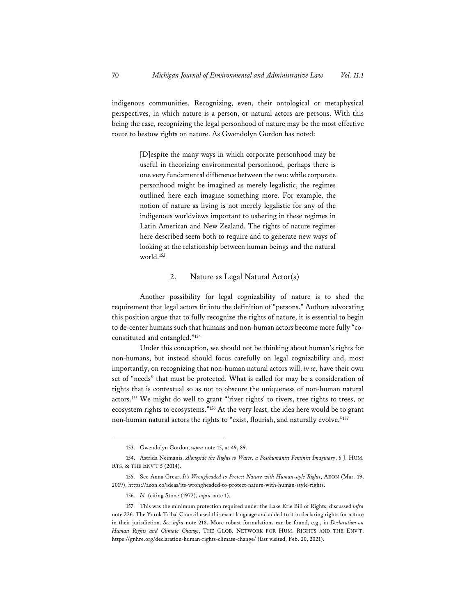indigenous communities. Recognizing, even, their ontological or metaphysical perspectives, in which nature is a person, or natural actors are persons. With this being the case, recognizing the legal personhood of nature may be the most effective route to bestow rights on nature. As Gwendolyn Gordon has noted:

> [D]espite the many ways in which corporate personhood may be useful in theorizing environmental personhood, perhaps there is one very fundamental difference between the two: while corporate personhood might be imagined as merely legalistic, the regimes outlined here each imagine something more. For example, the notion of nature as living is not merely legalistic for any of the indigenous worldviews important to ushering in these regimes in Latin American and New Zealand. The rights of nature regimes here described seem both to require and to generate new ways of looking at the relationship between human beings and the natural world.153

# 2. Nature as Legal Natural Actor(s)

Another possibility for legal cognizability of nature is to shed the requirement that legal actors fir into the definition of "persons." Authors advocating this position argue that to fully recognize the rights of nature, it is essential to begin to de-center humans such that humans and non-human actors become more fully "coconstituted and entangled."154

Under this conception, we should not be thinking about human's rights for non-humans, but instead should focus carefully on legal cognizability and, most importantly, on recognizing that non-human natural actors will, *in se,* have their own set of "needs" that must be protected. What is called for may be a consideration of rights that is contextual so as not to obscure the uniqueness of non-human natural actors.155 We might do well to grant "'river rights' to rivers, tree rights to trees, or ecosystem rights to ecosystems."156 At the very least, the idea here would be to grant non-human natural actors the rights to "exist, flourish, and naturally evolve."157

<sup>153.</sup> Gwendolyn Gordon, *supra* note 15, at 49, 89.

<sup>154.</sup> Astrida Neimanis, *Alongside the Rights to Water, a Posthumanist Feminist Imaginary*, 5 J. HUM. RTS. & THE ENV'T 5 (2014).

<sup>155.</sup> See Anna Grear, *It's Wrongheaded to Protect Nature with Human-style Rights*, AEON (Mar. 19, 2019), https://aeon.co/ideas/its-wrongheaded-to-protect-nature-with-human-style-rights.

<sup>156.</sup> *Id.* (citing Stone (1972), *supra* note 1).

<sup>157.</sup> This was the minimum protection required under the Lake Erie Bill of Rights, discussed *infra* note 226. The Yurok Tribal Council used this exact language and added to it in declaring rights for nature in their jurisdiction. *See infra* note 218. More robust formulations can be found, e.g., in *Declaration on Human Rights and Climate Change*, THE GLOB. NETWORK FOR HUM. RIGHTS AND THE ENV'T, https://gnhre.org/declaration-human-rights-climate-change/ (last visited, Feb. 20, 2021).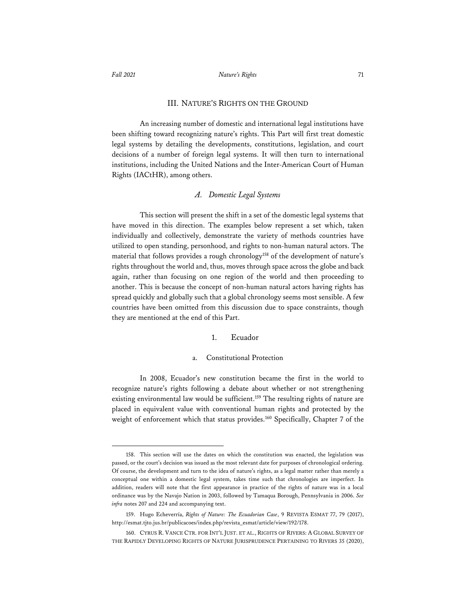### III. NATURE'S RIGHTS ON THE GROUND

An increasing number of domestic and international legal institutions have been shifting toward recognizing nature's rights. This Part will first treat domestic legal systems by detailing the developments, constitutions, legislation, and court decisions of a number of foreign legal systems. It will then turn to international institutions, including the United Nations and the Inter-American Court of Human Rights (IACtHR), among others.

#### *A. Domestic Legal Systems*

This section will present the shift in a set of the domestic legal systems that have moved in this direction. The examples below represent a set which, taken individually and collectively, demonstrate the variety of methods countries have utilized to open standing, personhood, and rights to non-human natural actors. The material that follows provides a rough chronology<sup>158</sup> of the development of nature's rights throughout the world and, thus, moves through space across the globe and back again, rather than focusing on one region of the world and then proceeding to another. This is because the concept of non-human natural actors having rights has spread quickly and globally such that a global chronology seems most sensible. A few countries have been omitted from this discussion due to space constraints, though they are mentioned at the end of this Part.

#### 1. Ecuador

#### a. Constitutional Protection

In 2008, Ecuador's new constitution became the first in the world to recognize nature's rights following a debate about whether or not strengthening existing environmental law would be sufficient.<sup>159</sup> The resulting rights of nature are placed in equivalent value with conventional human rights and protected by the weight of enforcement which that status provides.<sup>160</sup> Specifically, Chapter 7 of the

<sup>158.</sup> This section will use the dates on which the constitution was enacted, the legislation was passed, or the court's decision was issued as the most relevant date for purposes of chronological ordering. Of course, the development and turn to the idea of nature's rights, as a legal matter rather than merely a conceptual one within a domestic legal system, takes time such that chronologies are imperfect. In addition, readers will note that the first appearance in practice of the rights of nature was in a local ordinance was by the Navajo Nation in 2003, followed by Tamaqua Borough, Pennsylvania in 2006. *See infra* notes 207 and 224 and accompanying text.

<sup>159.</sup> Hugo Echeverría, *Rights of Nature: The Ecuadorian Case*, 9 REVISTA ESMAT 77, 79 (2017), http://esmat.tjto.jus.br/publicacoes/index.php/revista\_esmat/article/view/192/178.

<sup>160.</sup> CYRUS R. VANCE CTR. FOR INT'L JUST. ET AL., RIGHTS OF RIVERS: A GLOBAL SURVEY OF THE RAPIDLY DEVELOPING RIGHTS OF NATURE JURISPRUDENCE PERTAINING TO RIVERS 35 (2020),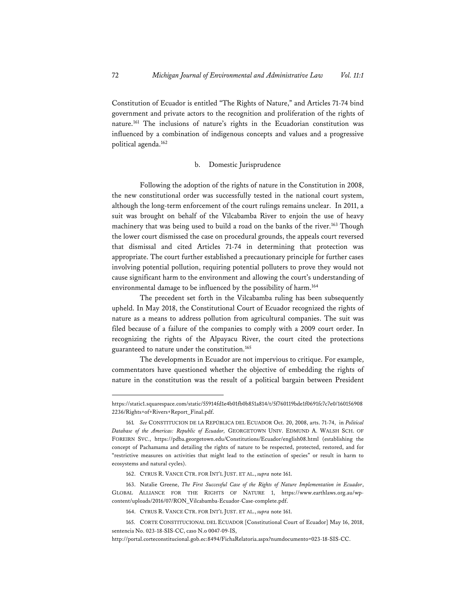Constitution of Ecuador is entitled "The Rights of Nature," and Articles 71-74 bind government and private actors to the recognition and proliferation of the rights of nature.161 The inclusions of nature's rights in the Ecuadorian constitution was influenced by a combination of indigenous concepts and values and a progressive political agenda.162

#### b. Domestic Jurisprudence

Following the adoption of the rights of nature in the Constitution in 2008, the new constitutional order was successfully tested in the national court system, although the long-term enforcement of the court rulings remains unclear. In 2011, a suit was brought on behalf of the Vilcabamba River to enjoin the use of heavy machinery that was being used to build a road on the banks of the river.<sup>163</sup> Though the lower court dismissed the case on procedural grounds, the appeals court reversed that dismissal and cited Articles 71-74 in determining that protection was appropriate. The court further established a precautionary principle for further cases involving potential pollution, requiring potential polluters to prove they would not cause significant harm to the environment and allowing the court's understanding of environmental damage to be influenced by the possibility of harm.<sup>164</sup>

The precedent set forth in the Vilcabamba ruling has been subsequently upheld. In May 2018, the Constitutional Court of Ecuador recognized the rights of nature as a means to address pollution from agricultural companies. The suit was filed because of a failure of the companies to comply with a 2009 court order. In recognizing the rights of the Alpayacu River, the court cited the protections guaranteed to nature under the constitution.165

The developments in Ecuador are not impervious to critique. For example, commentators have questioned whether the objective of embedding the rights of nature in the constitution was the result of a political bargain between President

https://static1.squarespace.com/static/55914fd1e4b01fb0b851a814/t/5f760119bde1f0691fc7c7e0/160156908 2236/Rights+of+Rivers+Report\_Final.pdf.

<sup>161</sup>*. See* CONSTITUCION DE LA REPÚBLICA DEL ECUADOR Oct. 20, 2008, arts. 71-74, in *Political Database of the Americas: Republic of Ecuador,* GEORGETOWN UNIV. EDMUND A. WALSH SCH. OF FOREIRN SVC., https://pdba.georgetown.edu/Constitutions/Ecuador/english08.html (establishing the concept of Pachamama and detailing the rights of nature to be respected, protected, restored, and for "restrictive measures on activities that might lead to the extinction of species" or result in harm to ecosystems and natural cycles).

<sup>162.</sup> CYRUS R. VANCE CTR. FOR INT'L JUST. ET AL., *supra* note 161.

<sup>163.</sup> Natalie Greene, *The First Successful Case of the Rights of Nature Implementation in Ecuador*, GLOBAL ALLIANCE FOR THE RIGHTS OF NATURE 1, https://www.earthlaws.org.au/wpcontent/uploads/2016/07/RON\_Vilcabamba-Ecuador-Case-complete.pdf.

<sup>164.</sup> CYRUS R. VANCE CTR. FOR INT'L JUST. ET AL., *supra* note 161.

<sup>165.</sup> CORTE CONSTITUCIONAL DEL ECUADOR [Constitutional Court of Ecuador] May 16, 2018, sentencia No. 023-18-SIS-CC, caso N.o 0047-09-IS,

http://portal.corteconstitucional.gob.ec:8494/FichaRelatoria.aspx?numdocumento=023-18-SIS-CC.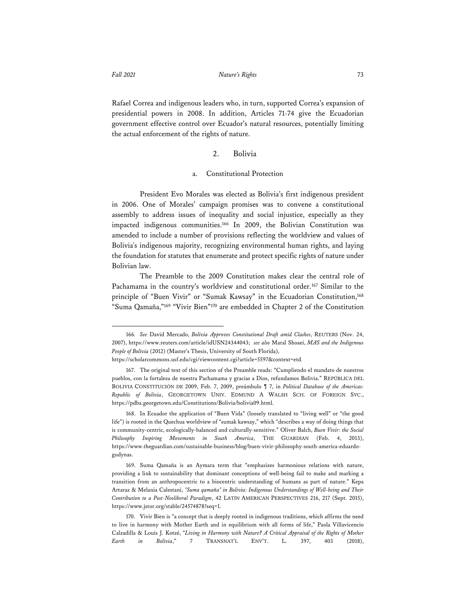Rafael Correa and indigenous leaders who, in turn, supported Correa's expansion of presidential powers in 2008. In addition, Articles 71-74 give the Ecuadorian government effective control over Ecuador's natural resources, potentially limiting the actual enforcement of the rights of nature.

#### 2. Bolivia

#### a. Constitutional Protection

President Evo Morales was elected as Bolivia's first indigenous president in 2006. One of Morales' campaign promises was to convene a constitutional assembly to address issues of inequality and social injustice, especially as they impacted indigenous communities.166 In 2009, the Bolivian Constitution was amended to include a number of provisions reflecting the worldview and values of Bolivia's indigenous majority, recognizing environmental human rights, and laying the foundation for statutes that enumerate and protect specific rights of nature under Bolivian law.

The Preamble to the 2009 Constitution makes clear the central role of Pachamama in the country's worldview and constitutional order.<sup>167</sup> Similar to the principle of "Buen Vivir" or "Sumak Kawsay" in the Ecuadorian Constitution,<sup>168</sup> "Suma Qamaña,"169 "Vivir Bien"170 are embedded in Chapter 2 of the Constitution

<sup>166</sup>*. See* David Mercado, *Bolivia Approves Constitutional Draft amid Clashes*, REUTERS (Nov. 24, 2007), https://www.reuters.com/article/idUSN24344043; *see also* Maral Shoaei, *MAS and the Indigenous People of Bolivia* (2012) (Master's Thesis, University of South Florida),

https://scholarcommons.usf.edu/cgi/viewcontent.cgi?article=5597&context=etd*.*

<sup>167.</sup> The original text of this section of the Preamble reads: "Cumpliendo el mandato de nuestros pueblos, con la fortaleza de nuestra Pachamama y gracias a Dios, refundamos Bolivia." REPÚBLICA DEL BOLIVIA CONSTITUCIÓN DE 2009, Feb. 7, 2009, preámbulo ¶ 7, in *Political Database of the Americas: Republic of Bolivia*, GEORGETOWN UNIV. EDMUND A WALSH SCH. OF FOREIGN SVC., https://pdba.georgetown.edu/Constitutions/Bolivia/bolivia09.html.

<sup>168.</sup> In Ecuador the application of "Buen Vida" (loosely translated to "living well" or "the good life") is rooted in the Quechua worldview of "sumak kawsay," which "describes a way of doing things that is community-centric, ecologically-balanced and culturally-sensitive." Oliver Balch, *Buen Vivir: the Social Philosophy Inspiring Movements in South America*, THE GUARDIAN (Feb. 4, 2013), https://www.theguardian.com/sustainable-business/blog/buen-vivir-philosophy-south-america-eduardogudynas.

<sup>169.</sup> Suma Qamaña is an Aymara term that "emphasizes harmonious relations with nature, providing a link to sustainability that dominant conceptions of well-being fail to make and marking a transition from an anthropocentric to a biocentric understanding of humans as part of nature." Kepa Artaraz & Melania Calestani, *"Suma qamaña" in Bolivia: Indigenous Understandings of Well-being and Their Contribution to a Post-Neoliberal Paradigm*, 42 LATIN AMERICAN PERSPECTIVES 216, 217 (Sept. 2015), https://www.jstor.org/stable/24574878?seq=1.

<sup>170.</sup> Vivir Bien is "a concept that is deeply rooted in indigenous traditions, which affirms the need to live in harmony with Mother Earth and in equilibrium with all forms of life," Paola Villavicencio Calzadilla & Louis J. Kotzé, "*Living in Harmony with Nature? A Critical Appraisal of the Rights of Mother Earth in Bolivia*," 7 TRANSNAT'L ENV'T. L. 397, 403 (2018),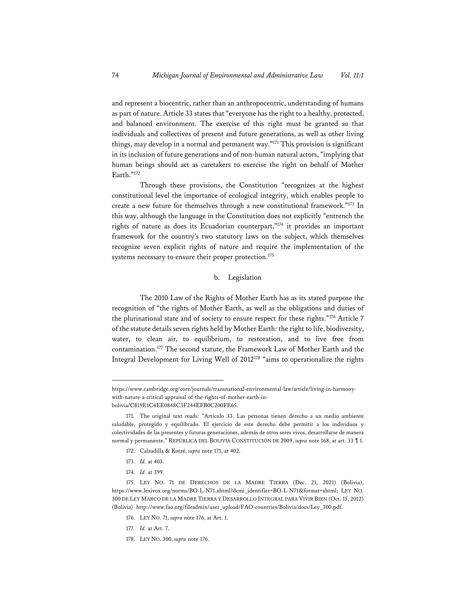and represent a biocentric, rather than an anthropocentric, understanding of humans as part of nature. Article 33 states that "everyone has the right to a healthy, protected, and balanced environment. The exercise of this right must be granted so that individuals and collectives of present and future generations, as well as other living things, may develop in a normal and permanent way."171 This provision is significant in its inclusion of future generations and of non-human natural actors, "implying that human beings should act as caretakers to exercise the right on behalf of Mother Earth."172

Through these provisions, the Constitution "recognizes at the highest constitutional level the importance of ecological integrity, which enables people to create a new future for themselves through a new constitutional framework."173 In this way, although the language in the Constitution does not explicitly "entrench the rights of nature as does its Ecuadorian counterpart,"174 it provides an important framework for the country's two statutory laws on the subject, which themselves recognize seven explicit rights of nature and require the implementation of the systems necessary to ensure their proper protection.<sup>175</sup>

# b. Legislation

The 2010 Law of the Rights of Mother Earth has as its stated purpose the recognition of "the rights of Mother Earth, as well as the obligations and duties of the plurinational state and of society to ensure respect for these rights."176 Article 7 of the statute details seven rights held by Mother Earth: the right to life, biodiversity, water, to clean air, to equilibrium, to restoration, and to live free from contamination.177 The second statute, the Framework Law of Mother Earth and the Integral Development for Living Well of 2012178 "aims to operationalize the rights

- 173. *Id.* at 403.
- 174. *Id.* at 399.

- 176. LEY NO. 71, *supra* note 176, at Art. 1.
- 177. *Id.* at Art. 7.
- 178. LEY NO. 300, *supra* note 176.

https://www.cambridge.org/core/journals/transnational-environmental-law/article/living-in-harmonywith-nature-a-critical-appraisal-of-the-rights-of-mother-earth-inbolivia/C819E1C4EE0848C3F244EFB0C200FE65.

<sup>171.</sup> The original text reads: "Artículo 33. Las personas tienen derecho a un medio ambiente saludable, protegido y equilibrado. El ejercicio de este derecho debe permitir a los individuos y colectividades de las presentes y futuras generaciones, además de otros seres vivos, desarrollarse de manera normal y permanente." REPÚBLICA DEL BOLIVIA CONSTITUCIÓN DE 2009, *supra* note 168, at art. 33 ¶ 1.

<sup>172.</sup> Calzadilla & Kotzé, *supra* note 171, at 402.

<sup>175.</sup> LEY NO. 71 DE DERECHOS DE LA MADRE TIERRA (Dec. 21, 2021) (Bolivia), https://www.lexivox.org/norms/BO-L-N71.xhtml?dcmi\_identifier=BO-L-N71&format=xhtml; LEY NO. 300 DE LEY MARCO DE LA MADRE TIERRA Y DESARROLLO INTEGRAL PARA VIVIR BIEN (Oct. 15, 2012) (Bolivia) http://www.fao.org/fileadmin/user\_upload/FAO-countries/Bolivia/docs/Ley\_300.pdf.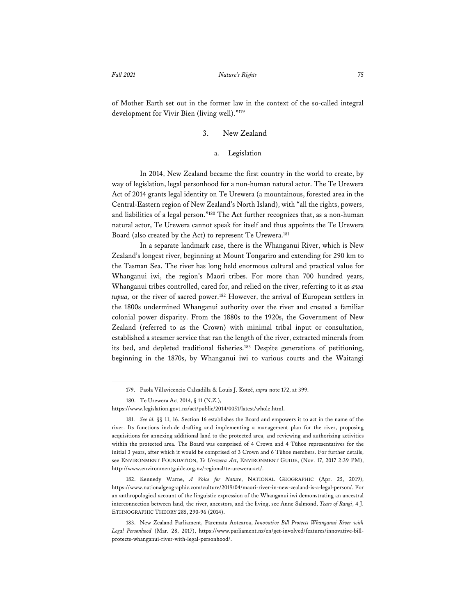of Mother Earth set out in the former law in the context of the so-called integral development for Vivir Bien (living well)."179

# 3. New Zealand

# a. Legislation

In 2014, New Zealand became the first country in the world to create, by way of legislation, legal personhood for a non-human natural actor. The Te Urewera Act of 2014 grants legal identity on Te Urewera (a mountainous, forested area in the Central-Eastern region of New Zealand's North Island), with "all the rights, powers, and liabilities of a legal person."180 The Act further recognizes that, as a non-human natural actor, Te Urewera cannot speak for itself and thus appoints the Te Urewera Board (also created by the Act) to represent Te Urewera.181

In a separate landmark case, there is the Whanganui River, which is New Zealand's longest river, beginning at Mount Tongariro and extending for 290 km to the Tasman Sea. The river has long held enormous cultural and practical value for Whanganui iwi, the region's Maori tribes. For more than 700 hundred years, Whanganui tribes controlled, cared for, and relied on the river, referring to it as *awa tupua,* or the river of sacred power.182 However, the arrival of European settlers in the 1800s undermined Whanganui authority over the river and created a familiar colonial power disparity. From the 1880s to the 1920s, the Government of New Zealand (referred to as the Crown) with minimal tribal input or consultation, established a steamer service that ran the length of the river, extracted minerals from its bed, and depleted traditional fisheries.<sup>183</sup> Despite generations of petitioning, beginning in the 1870s, by Whanganui iwi to various courts and the Waitangi

<sup>179.</sup> Paola Villavicencio Calzadilla & Louis J. Kotzé, *supra* note 172, at 399.

<sup>180.</sup> Te Urewera Act 2014, § 11 (N.Z.),

https://www.legislation.govt.nz/act/public/2014/0051/latest/whole.html.

<sup>181.</sup> *See id.* §§ 11, 16. Section 16 establishes the Board and empowers it to act in the name of the river. Its functions include drafting and implementing a management plan for the river, proposing acquisitions for annexing additional land to the protected area, and reviewing and authorizing activities within the protected area. The Board was comprised of 4 Crown and 4 Tūhoe representatives for the initial 3 years, after which it would be comprised of 3 Crown and 6 Tūhoe members. For further details, see ENVIRONMENT FOUNDATION, *Te Urewera Act*, ENVIRONMENT GUIDE, (Nov. 17, 2017 2:39 PM), http://www.environmentguide.org.nz/regional/te-urewera-act/.

<sup>182.</sup> Kennedy Warne, *A Voice for Nature*, NATIONAL GEOGRAPHIC (Apr. 25, 2019), https://www.nationalgeographic.com/culture/2019/04/maori-river-in-new-zealand-is-a-legal-person/. For an anthropological account of the linguistic expression of the Whanganui iwi demonstrating an ancestral interconnection between land, the river, ancestors, and the living, see Anne Salmond, *Tears of Rangi*, 4 J. ETHNOGRAPHIC THEORY 285, 290-96 (2014).

<sup>183.</sup> New Zealand Parliament, Pāremata Aotearoa, *Innovative Bill Protects Whanganui River with Legal Personhood* (Mar. 28, 2017), https://www.parliament.nz/en/get-involved/features/innovative-billprotects-whanganui-river-with-legal-personhood/.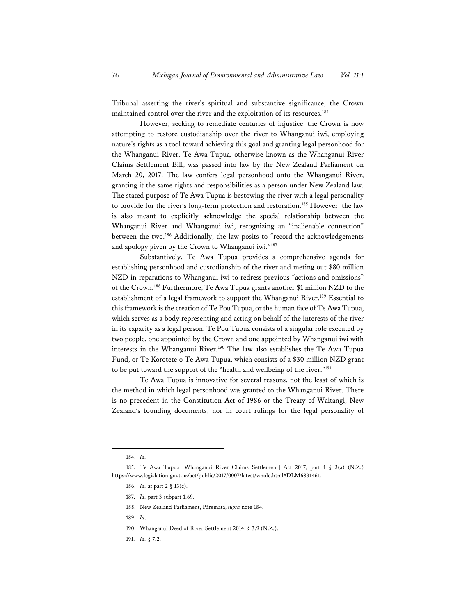Tribunal asserting the river's spiritual and substantive significance, the Crown maintained control over the river and the exploitation of its resources.184

However, seeking to remediate centuries of injustice, the Crown is now attempting to restore custodianship over the river to Whanganui iwi, employing nature's rights as a tool toward achieving this goal and granting legal personhood for the Whanganui River. Te Awa Tupua*,* otherwise known as the Whanganui River Claims Settlement Bill, was passed into law by the New Zealand Parliament on March 20, 2017. The law confers legal personhood onto the Whanganui River, granting it the same rights and responsibilities as a person under New Zealand law. The stated purpose of Te Awa Tupua is bestowing the river with a legal personality to provide for the river's long-term protection and restoration.<sup>185</sup> However, the law is also meant to explicitly acknowledge the special relationship between the Whanganui River and Whanganui iwi, recognizing an "inalienable connection" between the two.186 Additionally, the law posits to "record the acknowledgements and apology given by the Crown to Whanganui iwi."187

Substantively, Te Awa Tupua provides a comprehensive agenda for establishing personhood and custodianship of the river and meting out \$80 million NZD in reparations to Whanganui iwi to redress previous "actions and omissions" of the Crown.188 Furthermore, Te Awa Tupua grants another \$1 million NZD to the establishment of a legal framework to support the Whanganui River.<sup>189</sup> Essential to this framework is the creation of Te Pou Tupua, or the human face of Te Awa Tupua, which serves as a body representing and acting on behalf of the interests of the river in its capacity as a legal person. Te Pou Tupua consists of a singular role executed by two people, one appointed by the Crown and one appointed by Whanganui iwi with interests in the Whanganui River.<sup>190</sup> The law also establishes the Te Awa Tupua Fund, or Te Korotete o Te Awa Tupua, which consists of a \$30 million NZD grant to be put toward the support of the "health and wellbeing of the river."191

Te Awa Tupua is innovative for several reasons, not the least of which is the method in which legal personhood was granted to the Whanganui River. There is no precedent in the Constitution Act of 1986 or the Treaty of Waitangi, New Zealand's founding documents, nor in court rulings for the legal personality of

- 190. Whanganui Deed of River Settlement 2014, § 3.9 (N.Z.).
- 191. *Id.* § 7.2.

<sup>184.</sup> *Id.* 

<sup>185.</sup> Te Awa Tupua [Whanganui River Claims Settlement] Act 2017, part 1 § 3(a) (N.Z.) https://www.legislation.govt.nz/act/public/2017/0007/latest/whole.html#DLM6831461*.*

<sup>186.</sup> *Id.* at part 2 § 13(c).

<sup>187.</sup> *Id.* part 3 subpart 1.69.

<sup>188.</sup> New Zealand Parliament, Pāremata, *supra* note 184.

<sup>189.</sup> *Id*.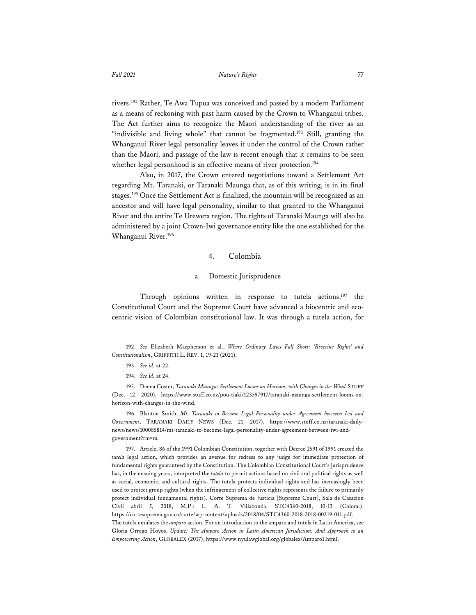rivers.192 Rather, Te Awa Tupua was conceived and passed by a modern Parliament as a means of reckoning with past harm caused by the Crown to Whanganui tribes. The Act further aims to recognize the Maori understanding of the river as an "indivisible and living whole" that cannot be fragmented.<sup>193</sup> Still, granting the Whanganui River legal personality leaves it under the control of the Crown rather than the Maori, and passage of the law is recent enough that it remains to be seen whether legal personhood is an effective means of river protection.<sup>194</sup>

Also, in 2017, the Crown entered negotiations toward a Settlement Act regarding Mt. Taranaki, or Taranaki Maunga that, as of this writing, is in its final stages.195 Once the Settlement Act is finalized, the mountain will be recognized as an ancestor and will have legal personality, similar to that granted to the Whanganui River and the entire Te Urewera region. The rights of Taranaki Maunga will also be administered by a joint Crown-Iwi governance entity like the one established for the Whanganui River.196

#### 4. Colombia

#### Domestic Jurisprudence

Through opinions written in response to tutela actions,<sup>197</sup> the Constitutional Court and the Supreme Court have advanced a biocentric and ecocentric vision of Colombian constitutional law. It was through a tutela action, for

<sup>192.</sup> *See* Elizabeth Macpherson et al., *Where Ordinary Laws Fall Short: 'Riverine Rights' and Constitutionalism*, GRIFFITH L. REV. 1, 19-21 (2021).

<sup>193.</sup> *See id.* at 22.

<sup>194.</sup> *See* i*d.* at 24.

<sup>195.</sup> Deena Coster, *Taranaki Maunga: Settlement Looms on Horizon, with Changes in the Wind* STUFF (Dec. 12, 2020), https://www.stuff.co.nz/pou-tiaki/123597917/taranaki-maunga-settlement-looms-onhorizon-with-changes-in-the-wind.

<sup>196.</sup> Blanton Smith, *Mt. Taranaki to Become Legal Personality under Agreement between Iwi and Government*, TARANAKI DAILY NEWS (Dec. 21, 2017), https://www.stuff.co.nz/taranaki-dailynews/news/100085814/mt-taranaki-to-become-legal-personality-under-agreement-between-iwi-andgovernment?rm=m*.*

<sup>197.</sup> Article, 86 of the 1991 Colombian Constitution, together with Decree 2591 of 1991 created the *tutela* legal action, which provides an avenue for redress to any judge for immediate protection of fundamental rights guaranteed by the Constitution. The Colombian Constitutional Court's jurisprudence has, in the ensuing years, interpreted the *tutela* to permit actions based on civil and political rights as well as social, economic, and cultural rights. The tutela protects individual rights and has increasingly been used to protect group rights (when the infringement of collective rights represents the failure to primarily protect individual fundamental rights). Corte Suprema de Justicia [Supreme Court], Sala de Casacion Civil abril 5, 2018, M.P.: L. A. T. Villabonda, STC4360-2018, 10-13 (Colom.), https://cortesuprema.gov.co/corte/wp-content/uploads/2018/04/STC4360-2018-2018-00319-011.pdf. The tutela emulates the *amparo* action. For an introduction to the amparo and tutela in Latin America, see Gloria Orrego Hoyos, *Update: The Amparo Action in Latin American Jurisdiction: And Approach to an Empowering Action*, GLOBALEX (2017), https://www.nyulawglobal.org/globalex/Amparo1.html.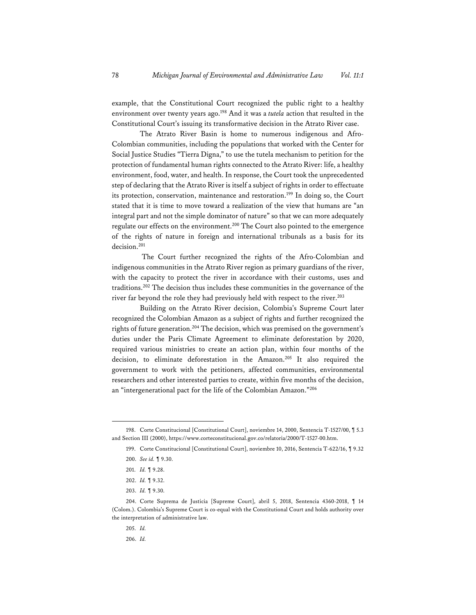example, that the Constitutional Court recognized the public right to a healthy environment over twenty years ago.198 And it was a *tutela* action that resulted in the Constitutional Court's issuing its transformative decision in the Atrato River case.

The Atrato River Basin is home to numerous indigenous and Afro-Colombian communities, including the populations that worked with the Center for Social Justice Studies "Tierra Digna," to use the tutela mechanism to petition for the protection of fundamental human rights connected to the Atrato River: life, a healthy environment, food, water, and health. In response, the Court took the unprecedented step of declaring that the Atrato River is itself a subject of rights in order to effectuate its protection, conservation, maintenance and restoration.<sup>199</sup> In doing so, the Court stated that it is time to move toward a realization of the view that humans are "an integral part and not the simple dominator of nature" so that we can more adequately regulate our effects on the environment.<sup>200</sup> The Court also pointed to the emergence of the rights of nature in foreign and international tribunals as a basis for its decision.201

 The Court further recognized the rights of the Afro-Colombian and indigenous communities in the Atrato River region as primary guardians of the river, with the capacity to protect the river in accordance with their customs, uses and traditions.202 The decision thus includes these communities in the governance of the river far beyond the role they had previously held with respect to the river.<sup>203</sup>

Building on the Atrato River decision, Colombia's Supreme Court later recognized the Colombian Amazon as a subject of rights and further recognized the rights of future generation.<sup>204</sup> The decision, which was premised on the government's duties under the Paris Climate Agreement to eliminate deforestation by 2020, required various ministries to create an action plan, within four months of the decision, to eliminate deforestation in the Amazon.205 It also required the government to work with the petitioners, affected communities, environmental researchers and other interested parties to create, within five months of the decision, an "intergenerational pact for the life of the Colombian Amazon."206

205. *Id.*

<sup>198.</sup> Corte Constitucional [Constitutional Court], noviembre 14, 2000, Sentencia T-1527/00, ¶ 5.3 and Section III (2000), https://www.corteconstitucional.gov.co/relatoria/2000/T-1527-00.htm.

<sup>199.</sup> Corte Constitucional [Constitutional Court], noviembre 10, 2016, Sentencia T-622/16, ¶ 9.32

<sup>200.</sup> *See id.* ¶ 9.30.

<sup>201.</sup> *Id.* ¶ 9.28.

<sup>202.</sup> *Id.* ¶ 9.32.

<sup>203.</sup> *Id.* ¶ 9.30.

<sup>204.</sup> Corte Suprema de Justicia [Supreme Court], abril 5, 2018, Sentencia 4360-2018, ¶ 14 (Colom.). Colombia's Supreme Court is co-equal with the Constitutional Court and holds authority over the interpretation of administrative law.

<sup>206.</sup> *Id.*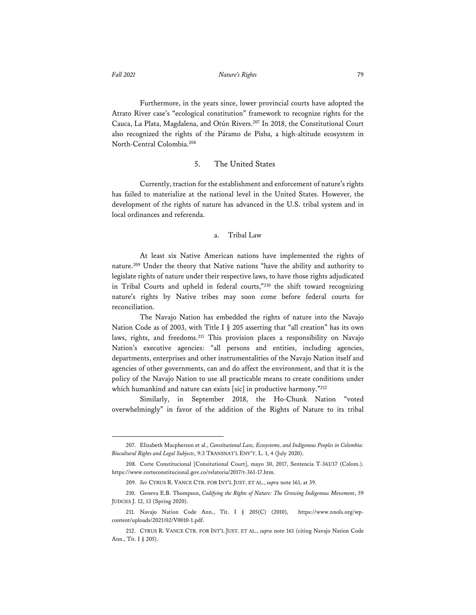Furthermore, in the years since, lower provincial courts have adopted the Atrato River case's "ecological constitution" framework to recognize rights for the Cauca, La Plata, Magdalena, and Otún Rivers.207 In 2018, the Constitutional Court also recognized the rights of the Páramo de Pisba, a high-altitude ecosystem in North-Central Colombia.208

#### 5. The United States

Currently, traction for the establishment and enforcement of nature's rights has failed to materialize at the national level in the United States. However, the development of the rights of nature has advanced in the U.S. tribal system and in local ordinances and referenda.

# a. Tribal Law

At least six Native American nations have implemented the rights of nature.209 Under the theory that Native nations "have the ability and authority to legislate rights of nature under their respective laws, to have those rights adjudicated in Tribal Courts and upheld in federal courts,"210 the shift toward recognizing nature's rights by Native tribes may soon come before federal courts for reconciliation.

The Navajo Nation has embedded the rights of nature into the Navajo Nation Code as of 2003, with Title I § 205 asserting that "all creation" has its own laws, rights, and freedoms.<sup>211</sup> This provision places a responsibility on Navajo Nation's executive agencies: "all persons and entities, including agencies, departments, enterprises and other instrumentalities of the Navajo Nation itself and agencies of other governments, can and do affect the environment, and that it is the policy of the Navajo Nation to use all practicable means to create conditions under which humankind and nature can exists [sic] in productive harmony."212

Similarly, in September 2018, the Ho-Chunk Nation "voted overwhelmingly" in favor of the addition of the Rights of Nature to its tribal

<sup>207.</sup> Elizabeth Macpherson et al., *Constitutional Law, Ecosystems, and Indigenous Peoples in Colombia: Biocultural Rights and Legal Subjects*, 9:3 TRANSNAT'L ENV'T. L. 1, 4 (July 2020).

<sup>208.</sup> Corte Constitucional [Consitutional Court], mayo 30, 2017, Sentencia T-361/17 (Colom.). https://www.corteconstitucional.gov.co/relatoria/2017/t-361-17.htm.

<sup>209.</sup> *See* CYRUS R. VANCE CTR. FOR INT'L JUST. ET AL., *supra* note 161, at 39.

<sup>210.</sup> Geneva E.B. Thompson, *Codifying the Rights of Nature: The Growing Indigenous Movement*, 59 JUDGES J. 12, 13 (Spring 2020).

<sup>211.</sup> Navajo Nation Code Ann., Tit. I § 205(C) (2010), https://www.nnols.org/wpcontent/uploads/2021/02/V0010-1.pdf.

<sup>212.</sup> CYRUS R. VANCE CTR. FOR INT'L JUST. ET AL., *supra* note 161 (citing Navajo Nation Code Ann., Tit. I § 205).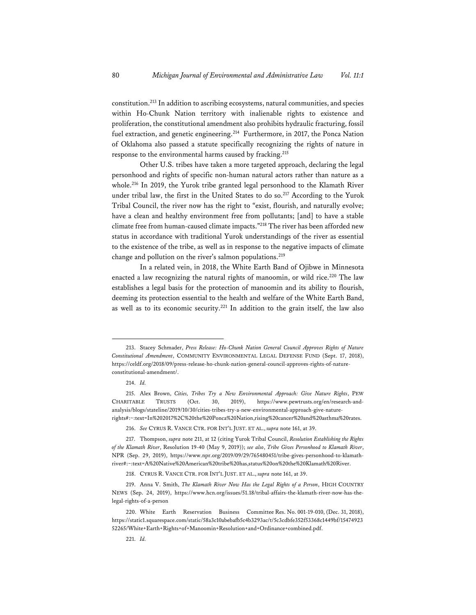constitution.213 In addition to ascribing ecosystems, natural communities, and species within Ho-Chunk Nation territory with inalienable rights to existence and proliferation, the constitutional amendment also prohibits hydraulic fracturing, fossil fuel extraction, and genetic engineering.<sup>214</sup> Furthermore, in 2017, the Ponca Nation of Oklahoma also passed a statute specifically recognizing the rights of nature in response to the environmental harms caused by fracking.215

Other U.S. tribes have taken a more targeted approach, declaring the legal personhood and rights of specific non-human natural actors rather than nature as a whole.216 In 2019, the Yurok tribe granted legal personhood to the Klamath River under tribal law, the first in the United States to do so.<sup>217</sup> According to the Yurok Tribal Council, the river now has the right to "exist, flourish, and naturally evolve; have a clean and healthy environment free from pollutants; [and] to have a stable climate free from human-caused climate impacts."218 The river has been afforded new status in accordance with traditional Yurok understandings of the river as essential to the existence of the tribe, as well as in response to the negative impacts of climate change and pollution on the river's salmon populations.<sup>219</sup>

In a related vein, in 2018, the White Earth Band of Ojibwe in Minnesota enacted a law recognizing the natural rights of manoomin, or wild rice.<sup>220</sup> The law establishes a legal basis for the protection of manoomin and its ability to flourish, deeming its protection essential to the health and welfare of the White Earth Band, as well as to its economic security.221 In addition to the grain itself, the law also

216. *See* CYRUS R. VANCE CTR. FOR INT'L JUST. ET AL., *supra* note 161, at 39.

<sup>213.</sup> Stacey Schmader, *Press Release: Ho-Chunk Nation General Council Approves Rights of Nature Constitutional Amendment*, COMMUNITY ENVIRONMENTAL LEGAL DEFENSE FUND (Sept. 17, 2018), https://celdf.org/2018/09/press-release-ho-chunk-nation-general-council-approves-rights-of-natureconstitutional-amendment/.

<sup>214.</sup> *Id.*

<sup>215.</sup> Alex Brown, *Cities, Tribes Try a New Environmental Approach: Give Nature Rights*, PEW CHARITABLE TRUSTS (Oct. 30, 2019), https://www.pewtrusts.org/en/research-andanalysis/blogs/stateline/2019/10/30/cities-tribes-try-a-new-environmental-approach-give-naturerights#:~:text=In%202017%2C%20the%20Ponca%20Nation,rising%20cancer%20and%20asthma%20rates.

<sup>217.</sup> Thompson, *supra* note 211, at 12 (citing Yurok Tribal Council, *Resolution Establishing the Rights of the Klamath River*, Resolution 19-40 (May 9, 2019)); *see also*, *Tribe Gives Personhood to Klamath River*, NPR (Sep. 29, 2019), https://www.npr.org/2019/09/29/765480451/tribe-gives-personhood-to-klamathriver#:~:text=A%20Native%20American%20tribe%20has,status%20on%20the%20Klamath%20River.

<sup>218.</sup> CYRUS R. VANCE CTR. FOR INT'L JUST. ET AL., *supra* note 161, at 39.

<sup>219.</sup> Anna V. Smith, *The Klamath River Now Has the Legal Rights of a Person*, HIGH COUNTRY NEWS (Sep. 24, 2019), https://www.hcn.org/issues/51.18/tribal-affairs-the-klamath-river-now-has-thelegal-rights-of-a-person

<sup>220.</sup> White Earth Reservation Business Committee Res. No. 001-19-010, (Dec. 31, 2018), https://static1.squarespace.com/static/58a3c10abebafb5c4b3293ac/t/5c3cdbfe352f53368c1449bf/15474923 52265/White+Earth+Rights+of+Manoomin+Resolution+and+Ordinance+combined.pdf.

<sup>221.</sup> *Id.*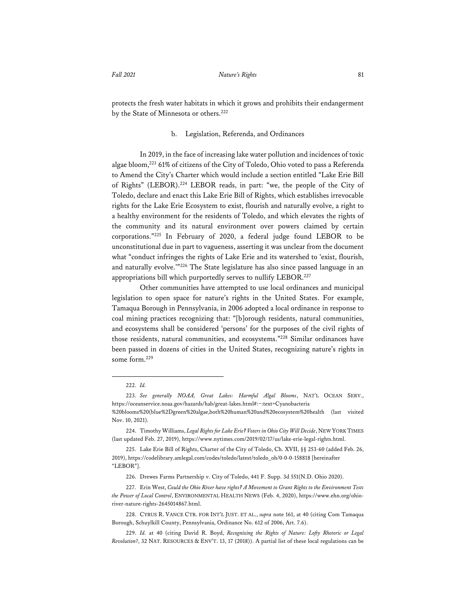protects the fresh water habitats in which it grows and prohibits their endangerment by the State of Minnesota or others.<sup>222</sup>

#### b. Legislation, Referenda, and Ordinances

In 2019, in the face of increasing lake water pollution and incidences of toxic algae bloom,223 61% of citizens of the City of Toledo, Ohio voted to pass a Referenda to Amend the City's Charter which would include a section entitled "Lake Erie Bill of Rights" (LEBOR).224 LEBOR reads, in part: "we, the people of the City of Toledo, declare and enact this Lake Erie Bill of Rights, which establishes irrevocable rights for the Lake Erie Ecosystem to exist, flourish and naturally evolve, a right to a healthy environment for the residents of Toledo, and which elevates the rights of the community and its natural environment over powers claimed by certain corporations."225 In February of 2020, a federal judge found LEBOR to be unconstitutional due in part to vagueness, asserting it was unclear from the document what "conduct infringes the rights of Lake Erie and its watershed to 'exist, flourish, and naturally evolve.'"226 The State legislature has also since passed language in an appropriations bill which purportedly serves to nullify LEBOR.<sup>227</sup>

Other communities have attempted to use local ordinances and municipal legislation to open space for nature's rights in the United States. For example, Tamaqua Borough in Pennsylvania, in 2006 adopted a local ordinance in response to coal mining practices recognizing that: "[b]orough residents, natural communities, and ecosystems shall be considered 'persons' for the purposes of the civil rights of those residents, natural communities, and ecosystems."228 Similar ordinances have been passed in dozens of cities in the United States, recognizing nature's rights in some form.229

<sup>222.</sup> *Id.*

<sup>223.</sup> *See generally NOAA, Great Lakes: Harmful Algal Blooms*, NAT'L OCEAN SERV., https://oceanservice.noaa.gov/hazards/hab/great-lakes.html#:~:text=Cyanobacteria %20blooms%20(blue%2Dgreen%20algae,both%20human%20and%20ecosystem%20health (last visited

Nov. 10, 2021). 224. Timothy Williams, *Legal Rights for Lake Erie? Voters in Ohio City Will Decide*, NEW YORK TIMES

<sup>(</sup>last updated Feb. 27, 2019), https://www.nytimes.com/2019/02/17/us/lake-erie-legal-rights.html.

<sup>225.</sup> Lake Erie Bill of Rights, Charter of the City of Toledo, Ch. XVII, §§ 253-60 (added Feb. 26, 2019), https://codelibrary.amlegal.com/codes/toledo/latest/toledo\_oh/0-0-0-158818 [hereinafter "LEBOR"].

<sup>226.</sup> Drewes Farms Partnership v. City of Toledo, 441 F. Supp. 3d 551(N.D. Ohio 2020).

<sup>227.</sup> Erin West, *Could the Ohio River have rights? A Movement to Grant Rights to the Environment Tests the Power of Local Control*, ENVIRONMENTAL HEALTH NEWS (Feb. 4, 2020), https://www.ehn.org/ohioriver-nature-rights-2645014867.html.

<sup>228.</sup> CYRUS R. VANCE CTR. FOR INT'L JUST. ET AL., *supra* note 161, at 40 (citing Com Tamaqua Borough, Schuylkill County, Pennsylvania, Ordinance No. 612 of 2006, Art. 7.6).

<sup>229.</sup> *Id.* at 40 (citing David R. Boyd, *Recognizing the Rights of Nature: Lofty Rhetoric or Legal Revolution*?, 32 NAT. RESOURCES & ENV'T. 13, 17 (2018)). A partial list of these local regulations can be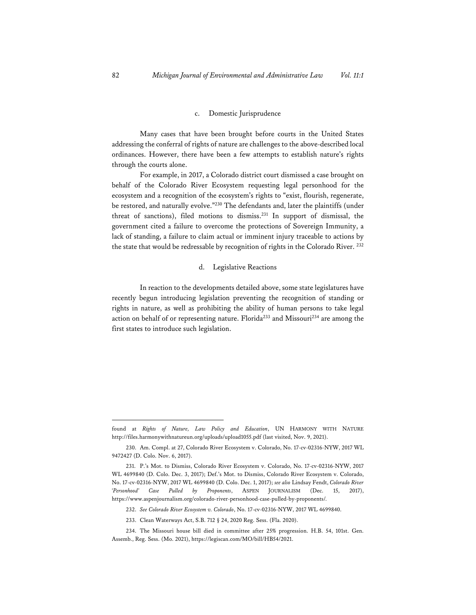#### c. Domestic Jurisprudence

Many cases that have been brought before courts in the United States addressing the conferral of rights of nature are challenges to the above-described local ordinances. However, there have been a few attempts to establish nature's rights through the courts alone.

For example, in 2017, a Colorado district court dismissed a case brought on behalf of the Colorado River Ecosystem requesting legal personhood for the ecosystem and a recognition of the ecosystem's rights to "exist, flourish, regenerate, be restored, and naturally evolve."230 The defendants and, later the plaintiffs (under threat of sanctions), filed motions to dismiss.231 In support of dismissal, the government cited a failure to overcome the protections of Sovereign Immunity, a lack of standing, a failure to claim actual or imminent injury traceable to actions by the state that would be redressable by recognition of rights in the Colorado River. <sup>232</sup>

#### d. Legislative Reactions

In reaction to the developments detailed above, some state legislatures have recently begun introducing legislation preventing the recognition of standing or rights in nature, as well as prohibiting the ability of human persons to take legal action on behalf of or representing nature. Florida<sup>233</sup> and Missouri<sup>234</sup> are among the first states to introduce such legislation.

found at *Rights of Nature, Law Policy and Education*, UN HARMONY WITH NATURE http://files.harmonywithnatureun.org/uploads/upload1055.pdf (last visited, Nov. 9, 2021).

<sup>230.</sup> Am. Compl. at 27, Colorado River Ecosystem v. Colorado, No. 17-cv-02316-NYW, 2017 WL 9472427 (D. Colo. Nov. 6, 2017).

<sup>231.</sup> P.'s Mot. to Dismiss, Colorado River Ecosystem v. Colorado, No. 17-cv-02316-NYW, 2017 WL 4699840 (D. Colo. Dec. 3, 2017); Def.'s Mot. to Dismiss, Colorado River Ecosystem v. Colorado, No. 17-cv-02316-NYW, 2017 WL 4699840 (D. Colo. Dec. 1, 2017); *see also* Lindsay Fendt, *Colorado River 'Personhood' Case Pulled by Proponents*, ASPEN JOURNALISM (Dec. 15, 2017), https://www.aspenjournalism.org/colorado-river-personhood-case-pulled-by-proponents/*.* 

<sup>232.</sup> *See Colorado River Ecosystem v. Colorado*, No. 17-cv-02316-NYW, 2017 WL 4699840.

<sup>233.</sup> Clean Waterways Act, S.B. 712 § 24, 2020 Reg. Sess. (Fla. 2020).

<sup>234.</sup> The Missouri house bill died in committee after 25% progression. H.B. 54, 101st. Gen. Assemb., Reg. Sess. (Mo. 2021), https://legiscan.com/MO/bill/HB54/2021.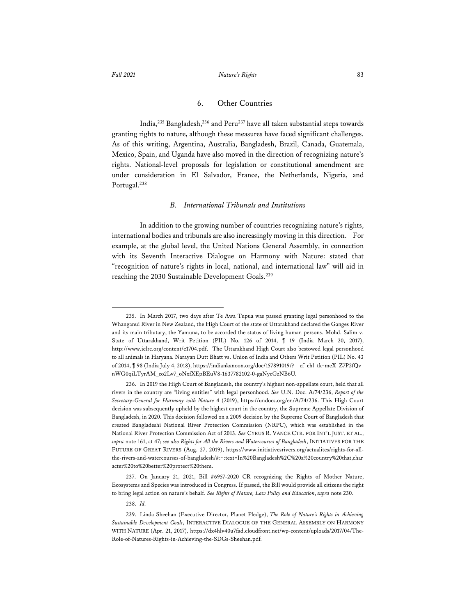#### *Fall 2021 Nature's Rights* 83

### 6. Other Countries

India,<sup>235</sup> Bangladesh,<sup>236</sup> and Peru<sup>237</sup> have all taken substantial steps towards granting rights to nature, although these measures have faced significant challenges. As of this writing, Argentina, Australia, Bangladesh, Brazil, Canada, Guatemala, Mexico, Spain, and Uganda have also moved in the direction of recognizing nature's rights. National-level proposals for legislation or constitutional amendment are under consideration in El Salvador, France, the Netherlands, Nigeria, and Portugal.<sup>238</sup>

#### *B. International Tribunals and Institutions*

In addition to the growing number of countries recognizing nature's rights, international bodies and tribunals are also increasingly moving in this direction. For example, at the global level, the United Nations General Assembly, in connection with its Seventh Interactive Dialogue on Harmony with Nature: stated that "recognition of nature's rights in local, national, and international law" will aid in reaching the 2030 Sustainable Development Goals.239

238. *Id.*

<sup>235.</sup> In March 2017, two days after Te Awa Tupua was passed granting legal personhood to the Whanganui River in New Zealand, the High Court of the state of Uttarakhand declared the Ganges River and its main tributary, the Yamuna, to be accorded the status of living human persons. Mohd. Salim v. State of Uttarakhand, Writ Petition (PIL) No. 126 of 2014, ¶ 19 (India March 20, 2017), http://www.ielrc.org/content/e1704.pdf. The Uttarakhand High Court also bestowed legal personhood to all animals in Haryana. Narayan Dutt Bhatt vs. Union of India and Others Writ Petition (PIL) No. 43 of 2014, ¶ 98 (India July 4, 2018), https://indiankanoon.org/doc/157891019/?\_\_cf\_chl\_tk=meX\_Z7P2fQv nWG0qiLTyrAM\_co2Lv7\_oNxfXEpBEuV8-1637782102-0-gaNycGzNB6U*.*

<sup>236.</sup> In 2019 the High Court of Bangladesh, the country's highest non-appellate court, held that all rivers in the country are "living entities" with legal personhood. *See* U.N. Doc. A/74/236, *Report of the Secretary-General for Harmony with Nature* 4 (2019), https://undocs.org/en/A/74/236. This High Court decision was subsequently upheld by the highest court in the country, the Supreme Appellate Division of Bangladesh, in 2020. This decision followed on a 2009 decision by the Supreme Court of Bangladesh that created Bangladeshi National River Protection Commission (NRPC), which was established in the National River Protection Commission Act of 2013. *See* CYRUS R. VANCE CTR. FOR INT'L JUST. ET AL., *supra* note 161, at 47; *see also Rights for All the Rivers and Watercourses of Bangladesh*, INITIATIVES FOR THE FUTURE OF GREAT RIVERS (Aug. 27, 2019), https://www.initiativesrivers.org/actualites/rights-for-allthe-rivers-and-watercourses-of-bangladesh/#:~:text=In%20Bangladesh%2C%20a%20country%20that,char acter%20to%20better%20protect%20them.

<sup>237.</sup> On January 21, 2021, Bill #6957-2020 CR recognizing the Rights of Mother Nature, Ecosystems and Species was introduced in Congress. If passed, the Bill would provide all citizens the right to bring legal action on nature's behalf. *See Rights of Nature, Law Policy and Education*, *supra* note 230.

<sup>239.</sup> Linda Sheehan (Executive Director, Planet Pledge), *The Role of Nature's Rights in Achieving Sustainable Development Goals*, INTERACTIVE DIALOGUE OF THE GENERAL ASSEMBLY ON HARMONY WITH NATURE (Apr. 21, 2017)*,* https://dx4hlv40u7fad.cloudfront.net/wp-content/uploads/2017/04/The-Role-of-Natures-Rights-in-Achieving-the-SDGs-Sheehan.pdf*.*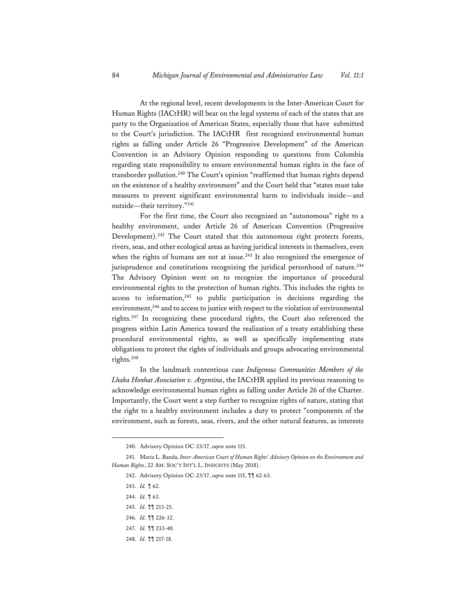At the regional level, recent developments in the Inter-American Court for Human Rights (IACtHR) will bear on the legal systems of each of the states that are party to the Organization of American States, especially those that have submitted to the Court's jurisdiction. The IACtHR first recognized environmental human rights as falling under Article 26 "Progressive Development" of the American Convention in an Advisory Opinion responding to questions from Colombia regarding state responsibility to ensure environmental human rights in the face of transborder pollution.<sup>240</sup> The Court's opinion "reaffirmed that human rights depend on the existence of a healthy environment" and the Court held that "states must take measures to prevent significant environmental harm to individuals inside—and outside—their territory."241

For the first time, the Court also recognized an "autonomous" right to a healthy environment, under Article 26 of American Convention (Progressive Development).<sup>242</sup> The Court stated that this autonomous right protects forests, rivers, seas, and other ecological areas as having juridical interests in themselves, even when the rights of humans are not at issue. $243$  It also recognized the emergence of jurisprudence and constitutions recognizing the juridical personhood of nature.<sup>244</sup> The Advisory Opinion went on to recognize the importance of procedural environmental rights to the protection of human rights. This includes the rights to access to information,<sup>245</sup> to public participation in decisions regarding the environment,<sup>246</sup> and to access to justice with respect to the violation of environmental rights.247 In recognizing these procedural rights, the Court also referenced the progress within Latin America toward the realization of a treaty establishing these procedural environmental rights, as well as specifically implementing state obligations to protect the rights of individuals and groups advocating environmental rights.248

In the landmark contentious case *Indigenous Communities Members of the Lhaka Honhat Association v. Argentina*, the IACtHR applied its previous reasoning to acknowledge environmental human rights as falling under Article 26 of the Charter. Importantly, the Court went a step further to recognize rights of nature, stating that the right to a healthy environment includes a duty to protect "components of the environment, such as forests, seas, rivers, and the other natural features, as interests

<sup>240.</sup> Advisory Opinion OC-23/17, *supra* note 115.

<sup>241.</sup> Maria L. Banda, *Inter-American Court of Human Rights' Advisory Opinion on the Environment and Human Rights*, 22 AM. SOC'Y INT'L L. INSIGHTS (May 2018).

<sup>242.</sup> Advisory Opinion OC-23/17, *supra* note 115, ¶¶ 62-63.

<sup>243.</sup> *Id.* ¶ 62.

<sup>244.</sup> *Id.* ¶ 63.

<sup>245.</sup> *Id.* ¶¶ 213-25.

<sup>246.</sup> *Id.* ¶¶ 226-32.

<sup>247.</sup> *Id.* ¶¶ 233-40.

<sup>248.</sup> *Id.* ¶¶ 217-18.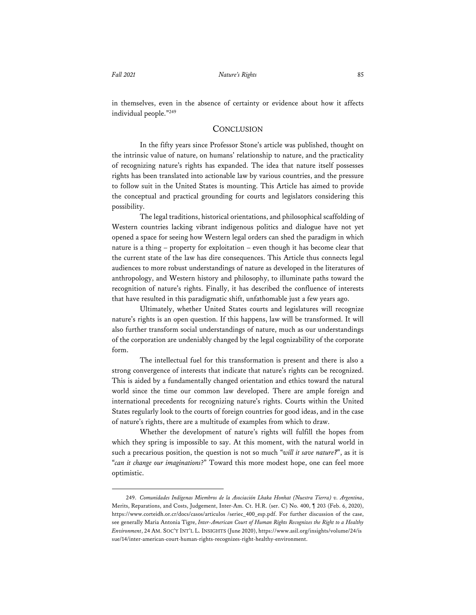in themselves, even in the absence of certainty or evidence about how it affects individual people."249

# **CONCLUSION**

In the fifty years since Professor Stone's article was published, thought on the intrinsic value of nature, on humans' relationship to nature, and the practicality of recognizing nature's rights has expanded. The idea that nature itself possesses rights has been translated into actionable law by various countries, and the pressure to follow suit in the United States is mounting. This Article has aimed to provide the conceptual and practical grounding for courts and legislators considering this possibility.

The legal traditions, historical orientations, and philosophical scaffolding of Western countries lacking vibrant indigenous politics and dialogue have not yet opened a space for seeing how Western legal orders can shed the paradigm in which nature is a thing – property for exploitation – even though it has become clear that the current state of the law has dire consequences. This Article thus connects legal audiences to more robust understandings of nature as developed in the literatures of anthropology, and Western history and philosophy, to illuminate paths toward the recognition of nature's rights. Finally, it has described the confluence of interests that have resulted in this paradigmatic shift, unfathomable just a few years ago.

Ultimately, whether United States courts and legislatures will recognize nature's rights is an open question. If this happens, law will be transformed. It will also further transform social understandings of nature, much as our understandings of the corporation are undeniably changed by the legal cognizability of the corporate form.

The intellectual fuel for this transformation is present and there is also a strong convergence of interests that indicate that nature's rights can be recognized. This is aided by a fundamentally changed orientation and ethics toward the natural world since the time our common law developed. There are ample foreign and international precedents for recognizing nature's rights. Courts within the United States regularly look to the courts of foreign countries for good ideas, and in the case of nature's rights, there are a multitude of examples from which to draw.

Whether the development of nature's rights will fulfill the hopes from which they spring is impossible to say. At this moment, with the natural world in such a precarious position, the question is not so much "*will it save nature?*", as it is "*can it change our imaginations*?" Toward this more modest hope, one can feel more optimistic.

<sup>249.</sup> *Comunidades Indígenas Miembros de la Asociación Lhaka Honhat (Nuestra Tierra) v. Argentina*, Merits, Reparations, and Costs, Judgement, Inter-Am. Ct. H.R. (ser. C) No. 400, ¶ 203 (Feb. 6, 2020), https://www.corteidh.or.cr/docs/casos/articulos /seriec\_400\_esp.pdf. For further discussion of the case, see generally Maria Antonia Tigre, *Inter-American Court of Human Rights Recognizes the Right to a Healthy Environment*, 24 AM. SOC'Y INT'L L. INSIGHTS (June 2020), https://www.asil.org/insights/volume/24/is sue/14/inter-american-court-human-rights-recognizes-right-healthy-environment.